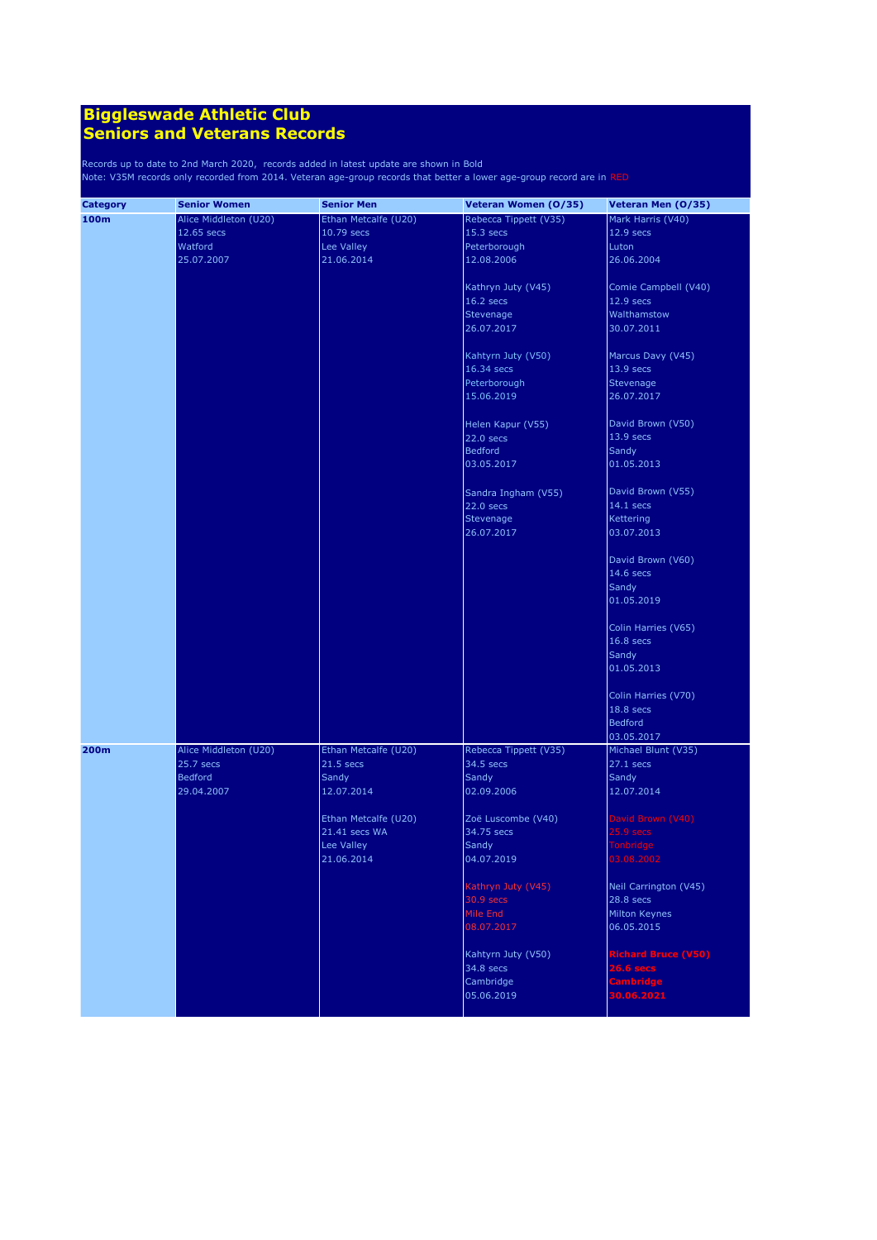| <b>Category</b> | <b>Senior Women</b>   | <b>Senior Men</b>    | Veteran Women (0/35)  | Veteran Men (0/35)                 |
|-----------------|-----------------------|----------------------|-----------------------|------------------------------------|
| 100m            | Alice Middleton (U20) | Ethan Metcalfe (U20) | Rebecca Tippett (V35) | Mark Harris (V40)                  |
|                 | 12.65 secs            | 10.79 secs           | 15.3 secs             | 12.9 secs                          |
|                 | Watford               | Lee Valley           | Peterborough          | Luton                              |
|                 | 25.07.2007            | 21.06.2014           | 12.08.2006            | 26.06.2004                         |
|                 |                       |                      |                       |                                    |
|                 |                       |                      | Kathryn Juty (V45)    | Comie Campbell (V40)               |
|                 |                       |                      | $16.2$ secs           | 12.9 secs                          |
|                 |                       |                      | Stevenage             | Walthamstow                        |
|                 |                       |                      | 26.07.2017            | 30.07.2011                         |
|                 |                       |                      |                       |                                    |
|                 |                       |                      | Kahtyrn Juty (V50)    | Marcus Davy (V45)                  |
|                 |                       |                      | 16.34 secs            | 13.9 secs                          |
|                 |                       |                      | Peterborough          | Stevenage                          |
|                 |                       |                      | 15.06.2019            |                                    |
|                 |                       |                      |                       | 26.07.2017                         |
|                 |                       |                      |                       |                                    |
|                 |                       |                      | Helen Kapur (V55)     | David Brown (V50)                  |
|                 |                       |                      | 22.0 secs             | 13.9 secs                          |
|                 |                       |                      | <b>Bedford</b>        | Sandy                              |
|                 |                       |                      | 03.05.2017            | 01.05.2013                         |
|                 |                       |                      |                       |                                    |
|                 |                       |                      | Sandra Ingham (V55)   | David Brown (V55)                  |
|                 |                       |                      | 22.0 secs             | 14.1 secs                          |
|                 |                       |                      | Stevenage             | Kettering                          |
|                 |                       |                      | 26.07.2017            | 03.07.2013                         |
|                 |                       |                      |                       |                                    |
|                 |                       |                      |                       | David Brown (V60)                  |
|                 |                       |                      |                       | 14.6 secs                          |
|                 |                       |                      |                       | Sandy                              |
|                 |                       |                      |                       | 01.05.2019                         |
|                 |                       |                      |                       |                                    |
|                 |                       |                      |                       | Colin Harries (V65)                |
|                 |                       |                      |                       | 16.8 secs                          |
|                 |                       |                      |                       | Sandy                              |
|                 |                       |                      |                       | 01.05.2013                         |
|                 |                       |                      |                       |                                    |
|                 |                       |                      |                       | Colin Harries (V70)                |
|                 |                       |                      |                       | 18.8 secs                          |
|                 |                       |                      |                       | <b>Bedford</b>                     |
|                 |                       |                      |                       | 03.05.2017                         |
| 200m            | Alice Middleton (U20) | Ethan Metcalfe (U20) | Rebecca Tippett (V35) | Michael Blunt (V35)                |
|                 | 25.7 secs             | $21.5$ secs          | 34.5 secs             | $27.1$ secs                        |
|                 | <b>Bedford</b>        | Sandy                | Sandy                 | Sandy                              |
|                 | 29.04.2007            | 12.07.2014           | 02.09.2006            | 12.07.2014                         |
|                 |                       |                      |                       |                                    |
|                 |                       | Ethan Metcalfe (U20) | Zoë Luscombe (V40)    | David Brown (V40)                  |
|                 |                       | 21.41 secs WA        | 34.75 secs            | $25.9$ secs                        |
|                 |                       | Lee Valley           | Sandy                 | Tonbridge                          |
|                 |                       | 21.06.2014           | 04.07.2019            | 03.08.2002                         |
|                 |                       |                      |                       |                                    |
|                 |                       |                      | Kathryn Juty (V45)    | Neil Carrington (V45)              |
|                 |                       |                      | 30.9 secs             | $28.8$ secs                        |
|                 |                       |                      | Mile End              | Milton Keynes                      |
|                 |                       |                      | 08.07.2017            | 06.05.2015                         |
|                 |                       |                      |                       |                                    |
|                 |                       |                      |                       |                                    |
|                 |                       |                      | Kahtyrn Juty (V50)    | Richard Bruce (V50)<br>$26.6$ secs |
|                 |                       |                      | 34.8 secs             |                                    |
|                 |                       |                      | Cambridge             | <b>Cambridge</b><br>30.06.2021     |
|                 |                       |                      | 05.06.2019            |                                    |
|                 |                       |                      |                       |                                    |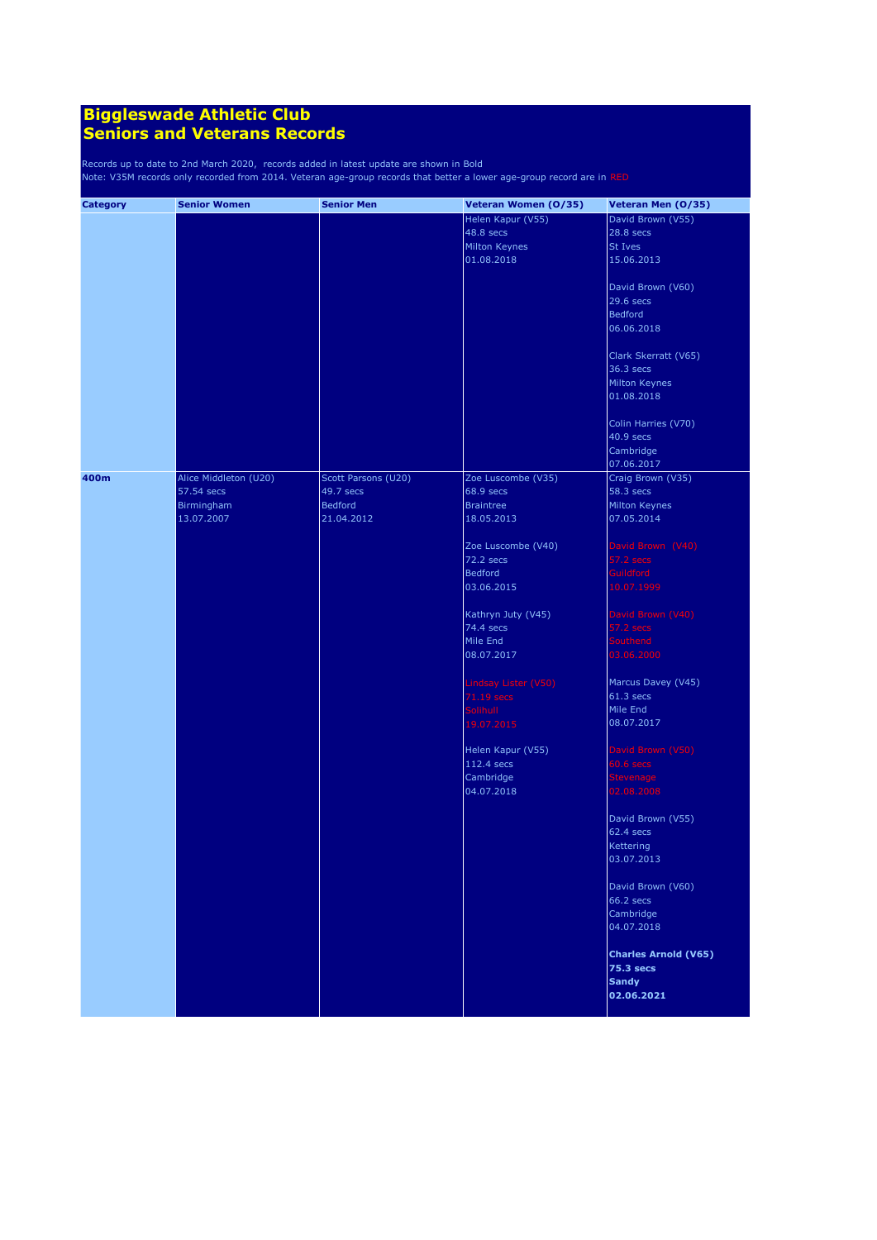| <b>Category</b> | <b>Senior Women</b>   | <b>Senior Men</b>   | Veteran Women (0/35) | Veteran Men (0/35)          |
|-----------------|-----------------------|---------------------|----------------------|-----------------------------|
|                 |                       |                     | Helen Kapur (V55)    | David Brown (V55)           |
|                 |                       |                     | 48.8 secs            | 28.8 secs                   |
|                 |                       |                     | <b>Milton Keynes</b> | St Ives                     |
|                 |                       |                     |                      |                             |
|                 |                       |                     | 01.08.2018           | 15.06.2013                  |
|                 |                       |                     |                      | David Brown (V60)           |
|                 |                       |                     |                      | 29.6 secs                   |
|                 |                       |                     |                      | <b>Bedford</b>              |
|                 |                       |                     |                      | 06.06.2018                  |
|                 |                       |                     |                      |                             |
|                 |                       |                     |                      | Clark Skerratt (V65)        |
|                 |                       |                     |                      | 36.3 secs                   |
|                 |                       |                     |                      | <b>Milton Keynes</b>        |
|                 |                       |                     |                      | 01.08.2018                  |
|                 |                       |                     |                      | Colin Harries (V70)         |
|                 |                       |                     |                      | 40.9 secs                   |
|                 |                       |                     |                      |                             |
|                 |                       |                     |                      | Cambridge                   |
|                 |                       |                     |                      | 07.06.2017                  |
| 400m            | Alice Middleton (U20) | Scott Parsons (U20) | Zoe Luscombe (V35)   | Craig Brown (V35)           |
|                 | 57.54 secs            | 49.7 secs           | 68.9 secs            | 58.3 secs                   |
|                 | Birmingham            | <b>Bedford</b>      | <b>Braintree</b>     | Milton Keynes               |
|                 | 13.07.2007            | 21.04.2012          | 18.05.2013           | 07.05.2014                  |
|                 |                       |                     |                      |                             |
|                 |                       |                     | Zoe Luscombe (V40)   | David Brown (V40)           |
|                 |                       |                     | 72.2 secs            | 57.2 secs                   |
|                 |                       |                     | Bedford              | <b>Guildford</b>            |
|                 |                       |                     | 03.06.2015           | 10.07.1999                  |
|                 |                       |                     |                      |                             |
|                 |                       |                     | Kathryn Juty (V45)   | David Brown (V40)           |
|                 |                       |                     | 74.4 secs            | 57.2 secs                   |
|                 |                       |                     | Mile End             | <b>Southend</b>             |
|                 |                       |                     | 08.07.2017           | 03.06.2000                  |
|                 |                       |                     | Lindsay Lister (V50) | Marcus Davey (V45)          |
|                 |                       |                     |                      | $61.3$ secs                 |
|                 |                       |                     | 71.19 secs           | Mile End                    |
|                 |                       |                     | <b>Solihull</b>      |                             |
|                 |                       |                     | 19.07.2015           | 08.07.2017                  |
|                 |                       |                     | Helen Kapur (V55)    | David Brown (V50)           |
|                 |                       |                     | 112.4 secs           | $60.6$ secs                 |
|                 |                       |                     | Cambridge            | Stevenage                   |
|                 |                       |                     | 04.07.2018           | 02.08.2008                  |
|                 |                       |                     |                      | David Brown (V55)           |
|                 |                       |                     |                      | 62.4 secs                   |
|                 |                       |                     |                      |                             |
|                 |                       |                     |                      | Kettering                   |
|                 |                       |                     |                      | 03.07.2013                  |
|                 |                       |                     |                      | David Brown (V60)           |
|                 |                       |                     |                      | 66.2 secs                   |
|                 |                       |                     |                      | Cambridge                   |
|                 |                       |                     |                      | 04.07.2018                  |
|                 |                       |                     |                      |                             |
|                 |                       |                     |                      | <b>Charles Arnold (V65)</b> |
|                 |                       |                     |                      | <b>75.3 secs</b>            |
|                 |                       |                     |                      | <b>Sandy</b>                |
|                 |                       |                     |                      | 02.06.2021                  |
|                 |                       |                     |                      |                             |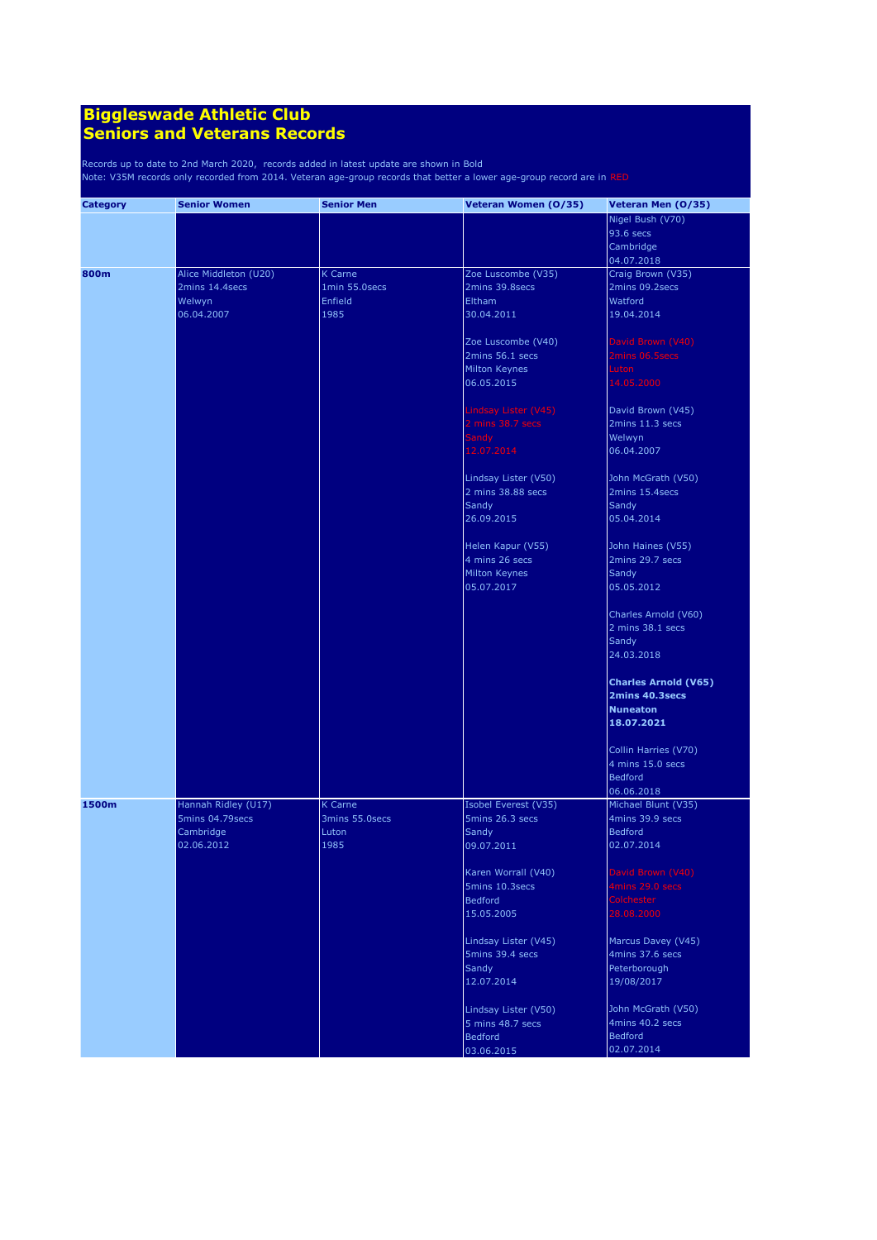| <b>Category</b> | <b>Senior Women</b>     | <b>Senior Men</b> | Veteran Women (0/35)                    | Veteran Men (0/35)                     |
|-----------------|-------------------------|-------------------|-----------------------------------------|----------------------------------------|
|                 |                         |                   |                                         | Nigel Bush (V70)                       |
|                 |                         |                   |                                         | 93.6 secs                              |
|                 |                         |                   |                                         | Cambridge                              |
|                 |                         |                   |                                         | 04.07.2018                             |
| 800m            | Alice Middleton (U20)   | <b>K</b> Carne    | Zoe Luscombe (V35)                      | Craig Brown (V35)                      |
|                 | 2mins 14.4secs          | 1min 55.0secs     | 2mins 39.8secs                          | 2mins 09.2secs                         |
|                 | Welwyn                  | Enfield           | Eltham                                  | Watford                                |
|                 | 06.04.2007              | 1985              | 30.04.2011                              | 19.04.2014                             |
|                 |                         |                   |                                         |                                        |
|                 |                         |                   | Zoe Luscombe (V40)                      | David Brown (V40)                      |
|                 |                         |                   | 2mins 56.1 secs                         | 2mins 06.5secs                         |
|                 |                         |                   | Milton Keynes                           | Luton                                  |
|                 |                         |                   | 06.05.2015                              | 14.05.2000                             |
|                 |                         |                   |                                         |                                        |
|                 |                         |                   | Lindsay Lister (V45)                    | David Brown (V45)                      |
|                 |                         |                   | 2 mins 38.7 secs                        | 2mins 11.3 secs                        |
|                 |                         |                   | <b>Sandy</b>                            | Welwyn                                 |
|                 |                         |                   | 12.07.2014                              | 06.04.2007                             |
|                 |                         |                   |                                         |                                        |
|                 |                         |                   | Lindsay Lister (V50)                    | John McGrath (V50)                     |
|                 |                         |                   | 2 mins 38.88 secs                       | 2mins 15.4secs                         |
|                 |                         |                   | Sandy                                   | Sandy                                  |
|                 |                         |                   | 26.09.2015                              | 05.04.2014                             |
|                 |                         |                   |                                         |                                        |
|                 |                         |                   | Helen Kapur (V55)                       | John Haines (V55)                      |
|                 |                         |                   | 4 mins 26 secs                          | 2mins 29.7 secs                        |
|                 |                         |                   | Milton Keynes                           | Sandy                                  |
|                 |                         |                   | 05.07.2017                              | 05.05.2012                             |
|                 |                         |                   |                                         |                                        |
|                 |                         |                   |                                         | Charles Arnold (V60)                   |
|                 |                         |                   |                                         | 2 mins 38.1 secs                       |
|                 |                         |                   |                                         | Sandy                                  |
|                 |                         |                   |                                         | 24.03.2018                             |
|                 |                         |                   |                                         | <b>Charles Arnold (V65)</b>            |
|                 |                         |                   |                                         | 2mins 40.3secs                         |
|                 |                         |                   |                                         | <b>Nuneaton</b>                        |
|                 |                         |                   |                                         | 18.07.2021                             |
|                 |                         |                   |                                         |                                        |
|                 |                         |                   |                                         | Collin Harries (V70)                   |
|                 |                         |                   |                                         | 4 mins 15.0 secs                       |
|                 |                         |                   |                                         |                                        |
|                 |                         |                   |                                         | <b>Bedford</b>                         |
| 1500m           | Hannah Ridley (U17)     | K Carne           |                                         | 06.06.2018                             |
|                 | 5mins 04.79secs         | 3mins 55.0secs    | Isobel Everest (V35)<br>5mins 26.3 secs | Michael Blunt (V35)<br>4mins 39.9 secs |
|                 |                         |                   |                                         | <b>Bedford</b>                         |
|                 | Cambridge<br>02.06.2012 | Luton             | Sandy                                   |                                        |
|                 |                         | 1985              | 09.07.2011                              | 02.07.2014                             |
|                 |                         |                   |                                         | David Brown (V40)                      |
|                 |                         |                   | Karen Worrall (V40)<br>5mins 10.3secs   |                                        |
|                 |                         |                   |                                         | 4mins 29.0 secs                        |
|                 |                         |                   | Bedford                                 | <b>Colchester</b>                      |
|                 |                         |                   | 15.05.2005                              | 28.08.2000                             |
|                 |                         |                   |                                         |                                        |
|                 |                         |                   | Lindsay Lister (V45)                    | Marcus Davey (V45)                     |
|                 |                         |                   | 5mins 39.4 secs                         | 4mins 37.6 secs                        |
|                 |                         |                   | Sandy                                   | Peterborough                           |
|                 |                         |                   | 12.07.2014                              | 19/08/2017                             |
|                 |                         |                   | Lindsay Lister (V50)                    | John McGrath (V50)                     |
|                 |                         |                   | 5 mins 48.7 secs                        | 4mins 40.2 secs                        |
|                 |                         |                   |                                         | <b>Bedford</b>                         |
|                 |                         |                   | Bedford                                 |                                        |
|                 |                         |                   | 03.06.2015                              | 02.07.2014                             |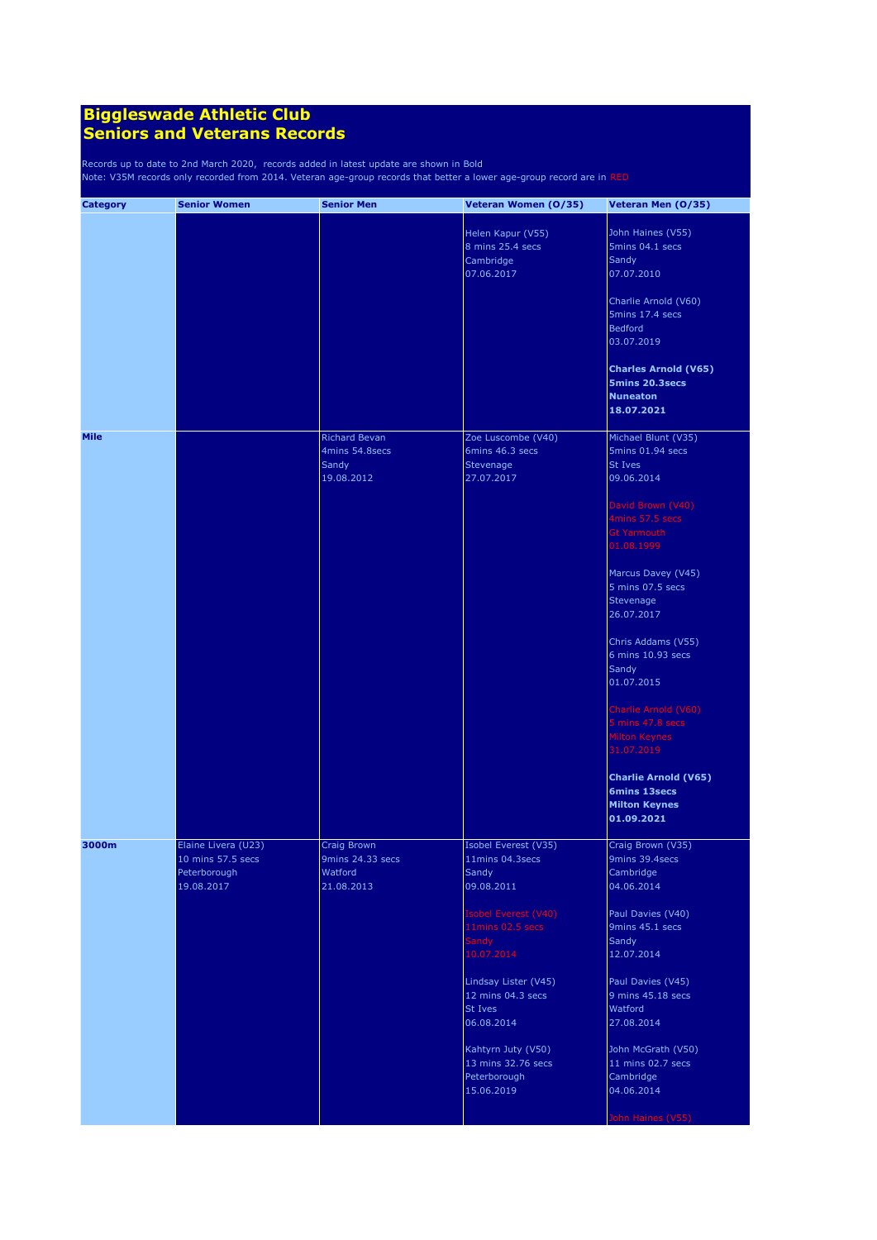| <b>Category</b> | <b>Senior Women</b>                                                    | <b>Senior Men</b>                                             | Veteran Women (0/35)                                                                                                                                                                                                                                                              | Veteran Men (0/35)                                                                                                                                                                                                                                                                                                                                                                                                                                         |
|-----------------|------------------------------------------------------------------------|---------------------------------------------------------------|-----------------------------------------------------------------------------------------------------------------------------------------------------------------------------------------------------------------------------------------------------------------------------------|------------------------------------------------------------------------------------------------------------------------------------------------------------------------------------------------------------------------------------------------------------------------------------------------------------------------------------------------------------------------------------------------------------------------------------------------------------|
|                 |                                                                        |                                                               | Helen Kapur (V55)<br>8 mins 25.4 secs<br>Cambridge<br>07.06.2017                                                                                                                                                                                                                  | John Haines (V55)<br>5mins 04.1 secs<br>Sandy<br>07.07.2010<br>Charlie Arnold (V60)<br>5mins 17.4 secs<br><b>Bedford</b><br>03.07.2019                                                                                                                                                                                                                                                                                                                     |
|                 |                                                                        |                                                               |                                                                                                                                                                                                                                                                                   | <b>Charles Arnold (V65)</b><br><b>5mins 20.3secs</b><br><b>Nuneaton</b><br>18.07.2021                                                                                                                                                                                                                                                                                                                                                                      |
| <b>Mile</b>     |                                                                        | <b>Richard Bevan</b><br>4mins 54.8secs<br>Sandy<br>19.08.2012 | Zoe Luscombe (V40)<br>6mins 46.3 secs<br>Stevenage<br>27.07.2017                                                                                                                                                                                                                  | Michael Blunt (V35)<br>5mins 01.94 secs<br>St Ives<br>09.06.2014<br>David Brown (V40)<br>4mins 57.5 secs<br><b>Gt Yarmouth</b><br>01.08.1999<br>Marcus Davey (V45)<br>5 mins 07.5 secs<br>Stevenage<br>26.07.2017<br>Chris Addams (V55)<br>6 mins 10.93 secs<br>Sandy<br>01.07.2015<br>Charlie Arnold (V60)<br>5 mins 47.8 secs<br><b>Milton Keynes</b><br>31.07.2019<br><b>Charlie Arnold (V65)</b><br>6mins 13secs<br><b>Milton Keynes</b><br>01.09.2021 |
| 3000m           | Elaine Livera (U23)<br>10 mins 57.5 secs<br>Peterborough<br>19.08.2017 | Craig Brown<br>9mins 24.33 secs<br>Watford<br>21.08.2013      | Isobel Everest (V35)<br>11mins 04.3secs<br>Sandy<br>09.08.2011<br>Isobel Everest (V40)<br>11mins 02.5 secs<br>Sandy<br>10.07.2014<br>Lindsay Lister (V45)<br>12 mins 04.3 secs<br>St Ives<br>06.08.2014<br>Kahtyrn Juty (V50)<br>13 mins 32.76 secs<br>Peterborough<br>15.06.2019 | Craig Brown (V35)<br>9mins 39.4secs<br>Cambridge<br>04.06.2014<br>Paul Davies (V40)<br>9mins 45.1 secs<br>Sandy<br>12.07.2014<br>Paul Davies (V45)<br>9 mins 45.18 secs<br>Watford<br>27.08.2014<br>John McGrath (V50)<br>11 mins 02.7 secs<br>Cambridge<br>04.06.2014<br>John Haines (V55)                                                                                                                                                                |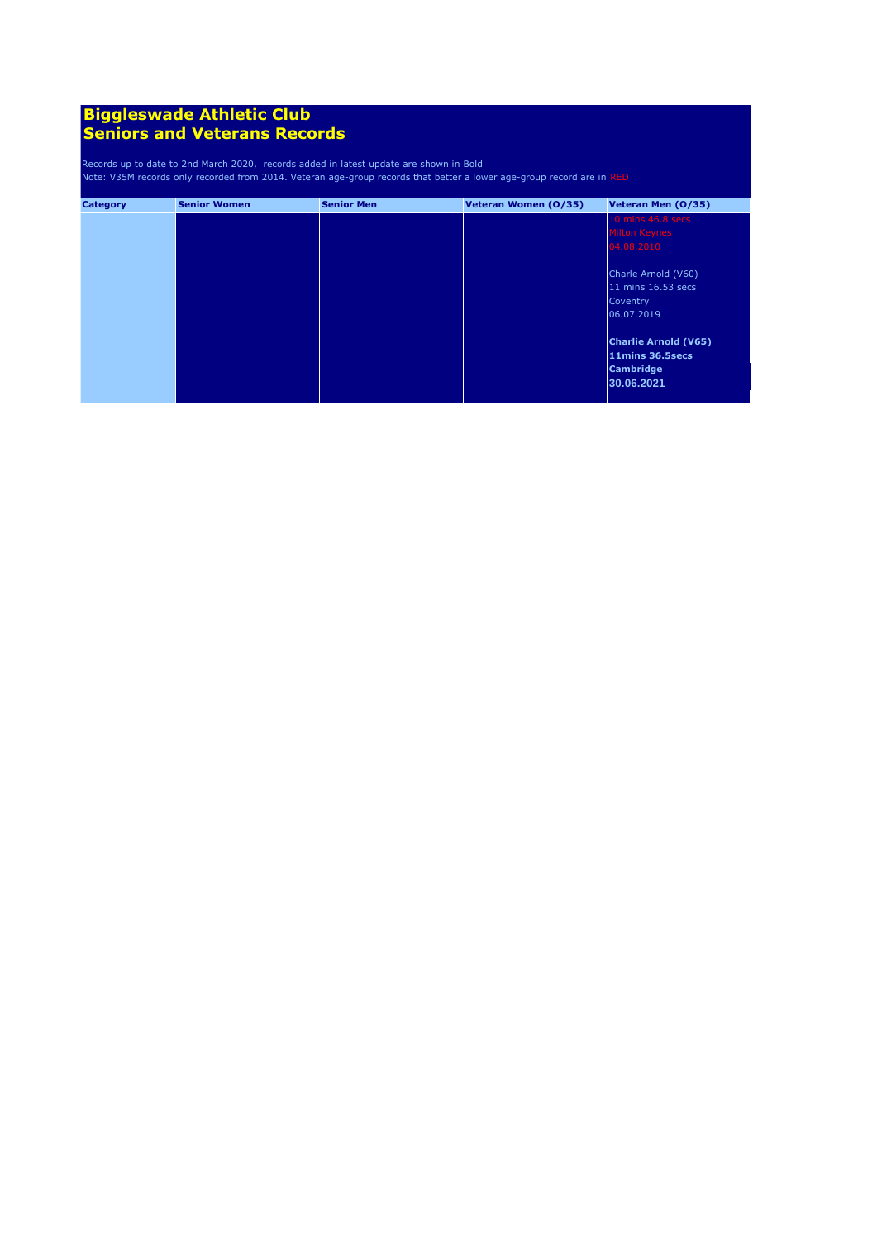| <b>Category</b> | <b>Senior Women</b> | <b>Senior Men</b> | Veteran Women (0/35) | Veteran Men (0/35)          |
|-----------------|---------------------|-------------------|----------------------|-----------------------------|
|                 |                     |                   |                      | 10 mins 46.8 secs           |
|                 |                     |                   |                      | Milton Keynes               |
|                 |                     |                   |                      | 04.08.2010                  |
|                 |                     |                   |                      | Charle Arnold (V60)         |
|                 |                     |                   |                      | 11 mins 16.53 secs          |
|                 |                     |                   |                      | Coventry                    |
|                 |                     |                   |                      | 06.07.2019                  |
|                 |                     |                   |                      | <b>Charlie Arnold (V65)</b> |
|                 |                     |                   |                      | 11mins 36.5secs             |
|                 |                     |                   |                      | <b>Cambridge</b>            |
|                 |                     |                   |                      | 30.06.2021                  |
|                 |                     |                   |                      |                             |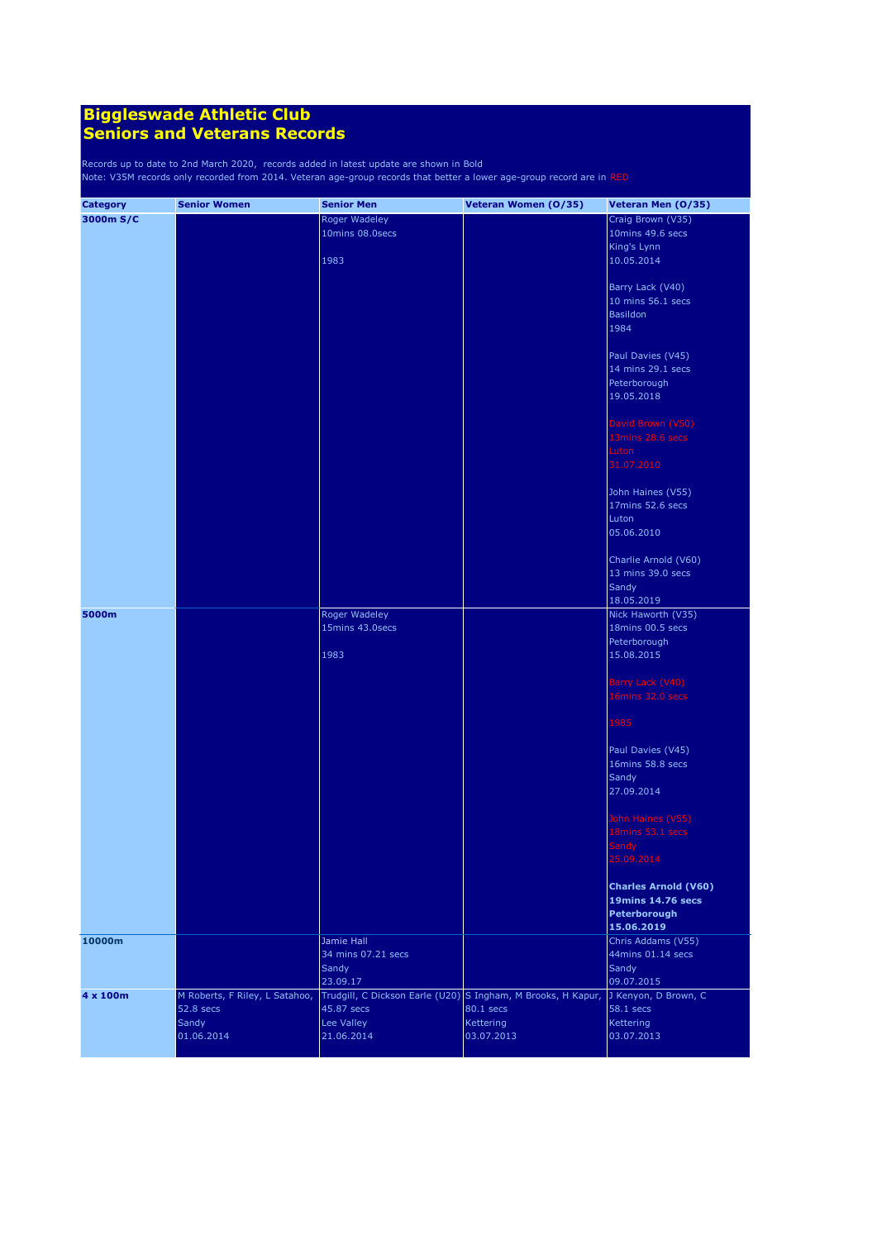| <b>Category</b> | <b>Senior Women</b>            | <b>Senior Men</b>  | Veteran Women (0/35)                                                              | Veteran Men (0/35)          |
|-----------------|--------------------------------|--------------------|-----------------------------------------------------------------------------------|-----------------------------|
| 3000m S/C       |                                | Roger Wadeley      |                                                                                   | Craig Brown (V35)           |
|                 |                                | 10mins 08.0secs    |                                                                                   | 10mins 49.6 secs            |
|                 |                                |                    |                                                                                   | King's Lynn                 |
|                 |                                | 1983               |                                                                                   | 10.05.2014                  |
|                 |                                |                    |                                                                                   |                             |
|                 |                                |                    |                                                                                   | Barry Lack (V40)            |
|                 |                                |                    |                                                                                   | 10 mins 56.1 secs           |
|                 |                                |                    |                                                                                   | Basildon                    |
|                 |                                |                    |                                                                                   | 1984                        |
|                 |                                |                    |                                                                                   |                             |
|                 |                                |                    |                                                                                   | Paul Davies (V45)           |
|                 |                                |                    |                                                                                   | 14 mins 29.1 secs           |
|                 |                                |                    |                                                                                   | Peterborough                |
|                 |                                |                    |                                                                                   | 19.05.2018                  |
|                 |                                |                    |                                                                                   |                             |
|                 |                                |                    |                                                                                   | David Brown (V50)           |
|                 |                                |                    |                                                                                   | 13mins 28.6 secs            |
|                 |                                |                    |                                                                                   | Luton                       |
|                 |                                |                    |                                                                                   | 31.07.2010                  |
|                 |                                |                    |                                                                                   |                             |
|                 |                                |                    |                                                                                   | John Haines (V55)           |
|                 |                                |                    |                                                                                   | 17mins 52.6 secs            |
|                 |                                |                    |                                                                                   | Luton                       |
|                 |                                |                    |                                                                                   | 05.06.2010                  |
|                 |                                |                    |                                                                                   |                             |
|                 |                                |                    |                                                                                   | Charlie Arnold (V60)        |
|                 |                                |                    |                                                                                   | 13 mins 39.0 secs           |
|                 |                                |                    |                                                                                   | Sandy                       |
|                 |                                |                    |                                                                                   | 18.05.2019                  |
| 5000m           |                                | Roger Wadeley      |                                                                                   | Nick Haworth (V35)          |
|                 |                                | 15mins 43.0secs    |                                                                                   | 18mins 00.5 secs            |
|                 |                                |                    |                                                                                   | Peterborough                |
|                 |                                | 1983               |                                                                                   | 15.08.2015                  |
|                 |                                |                    |                                                                                   |                             |
|                 |                                |                    |                                                                                   | Barry Lack (V40)            |
|                 |                                |                    |                                                                                   | 16mins 32.0 secs            |
|                 |                                |                    |                                                                                   |                             |
|                 |                                |                    |                                                                                   | 1985                        |
|                 |                                |                    |                                                                                   |                             |
|                 |                                |                    |                                                                                   | Paul Davies (V45)           |
|                 |                                |                    |                                                                                   | 16mins 58.8 secs            |
|                 |                                |                    |                                                                                   | Sandy                       |
|                 |                                |                    |                                                                                   | 27.09.2014                  |
|                 |                                |                    |                                                                                   |                             |
|                 |                                |                    |                                                                                   | John Haines (V55)           |
|                 |                                |                    |                                                                                   | 18mins 53.1 secs            |
|                 |                                |                    |                                                                                   | Sandy                       |
|                 |                                |                    |                                                                                   | 25.09.2014                  |
|                 |                                |                    |                                                                                   |                             |
|                 |                                |                    |                                                                                   | <b>Charles Arnold (V60)</b> |
|                 |                                |                    |                                                                                   | <b>19mins 14.76 secs</b>    |
|                 |                                |                    |                                                                                   | Peterborough                |
|                 |                                |                    |                                                                                   | 15.06.2019                  |
| 10000m          |                                | Jamie Hall         |                                                                                   | Chris Addams (V55)          |
|                 |                                | 34 mins 07.21 secs |                                                                                   | 44mins 01.14 secs           |
|                 |                                | Sandy              |                                                                                   | Sandy                       |
|                 |                                | 23.09.17           |                                                                                   | 09.07.2015                  |
| 4 x 100m        | M Roberts, F Riley, L Satahoo, |                    | Trudgill, C Dickson Earle (U20) S Ingham, M Brooks, H Kapur, J Kenyon, D Brown, C |                             |
|                 | 52.8 secs                      | 45.87 secs         | 80.1 secs                                                                         | 58.1 secs                   |
|                 | Sandy                          | Lee Valley         | <b>Kettering</b>                                                                  | Kettering                   |
|                 | 01.06.2014                     | 21.06.2014         | 03.07.2013                                                                        | 03.07.2013                  |
|                 |                                |                    |                                                                                   |                             |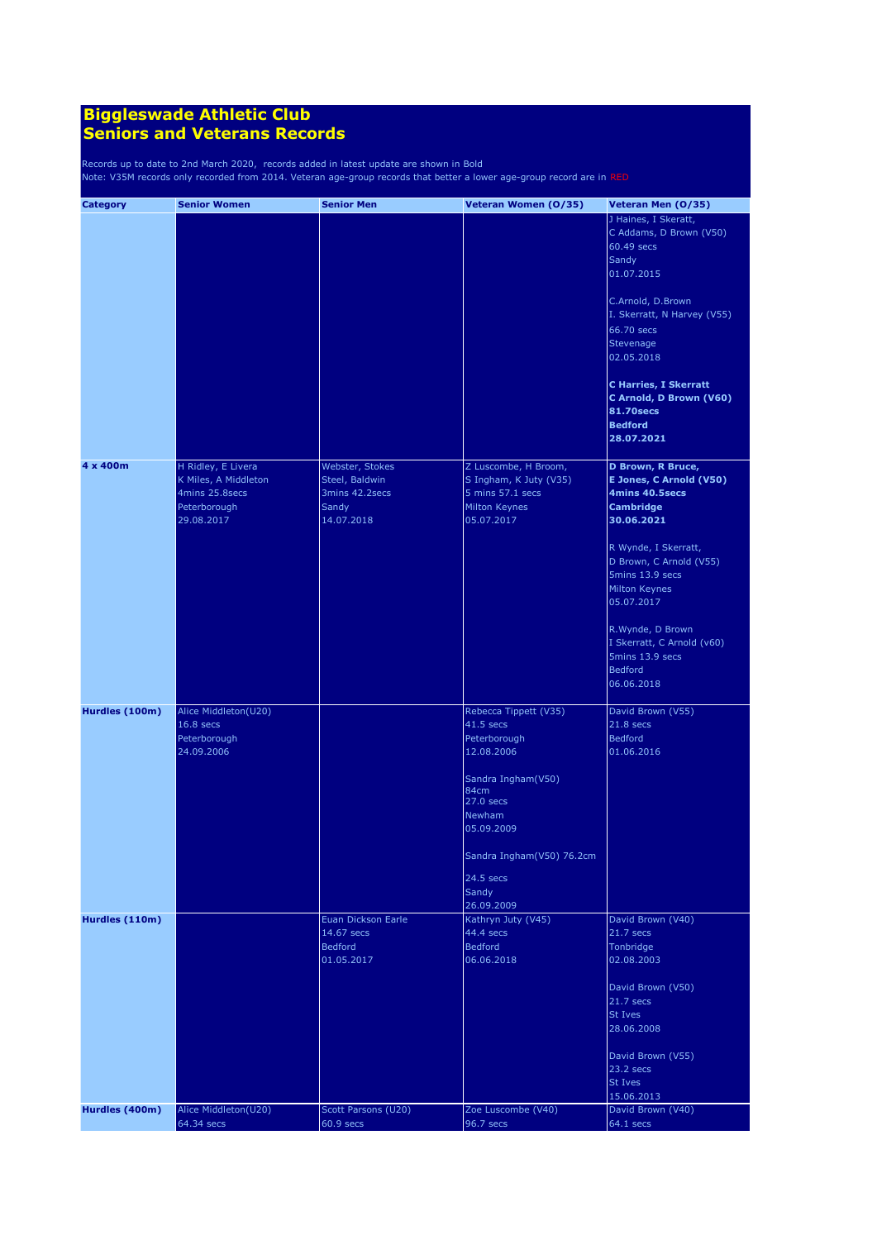| <b>Category</b> | <b>Senior Women</b>  | <b>Senior Men</b>   | Veteran Women (0/35)      | Veteran Men (0/35)           |
|-----------------|----------------------|---------------------|---------------------------|------------------------------|
|                 |                      |                     |                           | J Haines, I Skeratt,         |
|                 |                      |                     |                           | C Addams, D Brown (V50)      |
|                 |                      |                     |                           | 60.49 secs                   |
|                 |                      |                     |                           | Sandy                        |
|                 |                      |                     |                           | 01.07.2015                   |
|                 |                      |                     |                           | C.Arnold, D.Brown            |
|                 |                      |                     |                           | I. Skerratt, N Harvey (V55)  |
|                 |                      |                     |                           | 66.70 secs                   |
|                 |                      |                     |                           | Stevenage                    |
|                 |                      |                     |                           | 02.05.2018                   |
|                 |                      |                     |                           | <b>C Harries, I Skerratt</b> |
|                 |                      |                     |                           | C Arnold, D Brown (V60)      |
|                 |                      |                     |                           | <b>81.70secs</b>             |
|                 |                      |                     |                           | <b>Bedford</b>               |
|                 |                      |                     |                           | 28.07.2021                   |
| 4 x 400m        | H Ridley, E Livera   | Webster, Stokes     | Z Luscombe, H Broom,      | D Brown, R Bruce,            |
|                 | K Miles, A Middleton | Steel, Baldwin      | S Ingham, K Juty (V35)    | E Jones, C Arnold (V50)      |
|                 | 4mins 25.8secs       | 3mins 42.2secs      | 5 mins 57.1 secs          | 4mins 40.5secs               |
|                 | Peterborough         | Sandy               | Milton Keynes             | <b>Cambridge</b>             |
|                 | 29.08.2017           | 14.07.2018          | 05.07.2017                | 30.06.2021                   |
|                 |                      |                     |                           | R Wynde, I Skerratt,         |
|                 |                      |                     |                           | D Brown, C Arnold (V55)      |
|                 |                      |                     |                           | 5mins 13.9 secs              |
|                 |                      |                     |                           | Milton Keynes                |
|                 |                      |                     |                           | 05.07.2017                   |
|                 |                      |                     |                           | R.Wynde, D Brown             |
|                 |                      |                     |                           | I Skerratt, C Arnold (v60)   |
|                 |                      |                     |                           | 5mins 13.9 secs              |
|                 |                      |                     |                           | <b>Bedford</b>               |
|                 |                      |                     |                           | 06.06.2018                   |
| Hurdles (100m)  | Alice Middleton(U20) |                     | Rebecca Tippett (V35)     | David Brown (V55)            |
|                 | 16.8 secs            |                     | 41.5 secs                 | 21.8 secs                    |
|                 | Peterborough         |                     | Peterborough              | <b>Bedford</b>               |
|                 | 24.09.2006           |                     | 12.08.2006                | 01.06.2016                   |
|                 |                      |                     | Sandra Ingham(V50)        |                              |
|                 |                      |                     | 84cm<br>27.0 secs         |                              |
|                 |                      |                     | Newham                    |                              |
|                 |                      |                     | 05.09.2009                |                              |
|                 |                      |                     | Sandra Ingham(V50) 76.2cm |                              |
|                 |                      |                     | 24.5 secs                 |                              |
|                 |                      |                     | Sandy                     |                              |
|                 |                      |                     | 26.09.2009                |                              |
| Hurdles (110m)  |                      | Euan Dickson Earle  | Kathryn Juty (V45)        | David Brown (V40)            |
|                 |                      | 14.67 secs          | 44.4 secs                 | $21.7$ secs                  |
|                 |                      | <b>Bedford</b>      | <b>Bedford</b>            | Tonbridge                    |
|                 |                      | 01.05.2017          | 06.06.2018                | 02.08.2003                   |
|                 |                      |                     |                           | David Brown (V50)            |
|                 |                      |                     |                           | $21.7$ secs                  |
|                 |                      |                     |                           | St Ives                      |
|                 |                      |                     |                           | 28.06.2008                   |
|                 |                      |                     |                           | David Brown (V55)            |
|                 |                      |                     |                           | 23.2 secs                    |
|                 |                      |                     |                           | St Ives                      |
|                 |                      |                     |                           | 15.06.2013                   |
| Hurdles (400m)  | Alice Middleton(U20) | Scott Parsons (U20) | Zoe Luscombe (V40)        | David Brown (V40)            |
|                 | 64.34 secs           | $60.9$ secs         | 96.7 secs                 | 64.1 secs                    |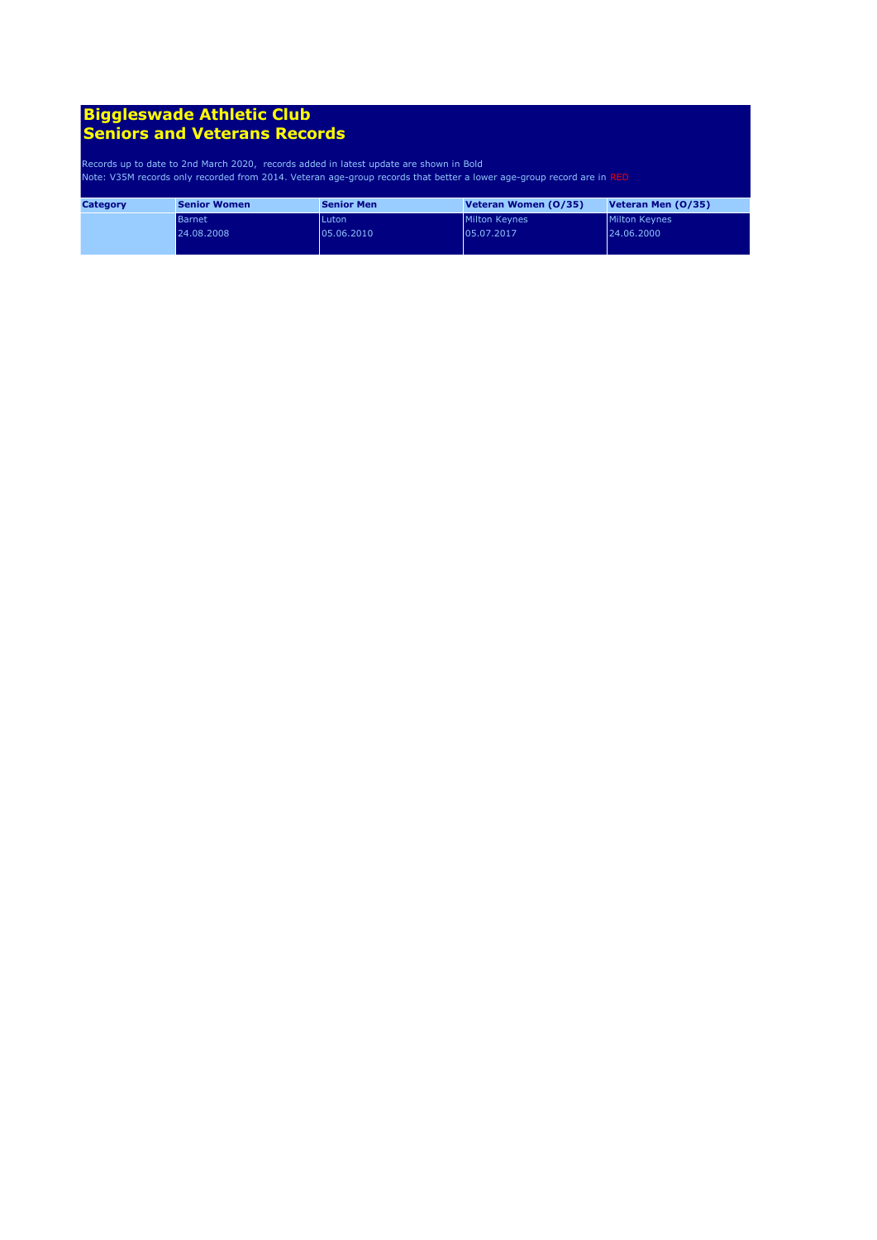| <b>Category</b> | <b>Senior Women</b> | <b>Senior Men</b> | Veteran Women (0/35) | Veteran Men (0/35) |
|-----------------|---------------------|-------------------|----------------------|--------------------|
|                 | <b>Barnet</b>       | Luton             | <b>Milton Keynes</b> | Milton Keynes      |
|                 | 24.08.2008          | 05.06.2010        | 05.07.2017           | 24.06.2000         |
|                 |                     |                   |                      |                    |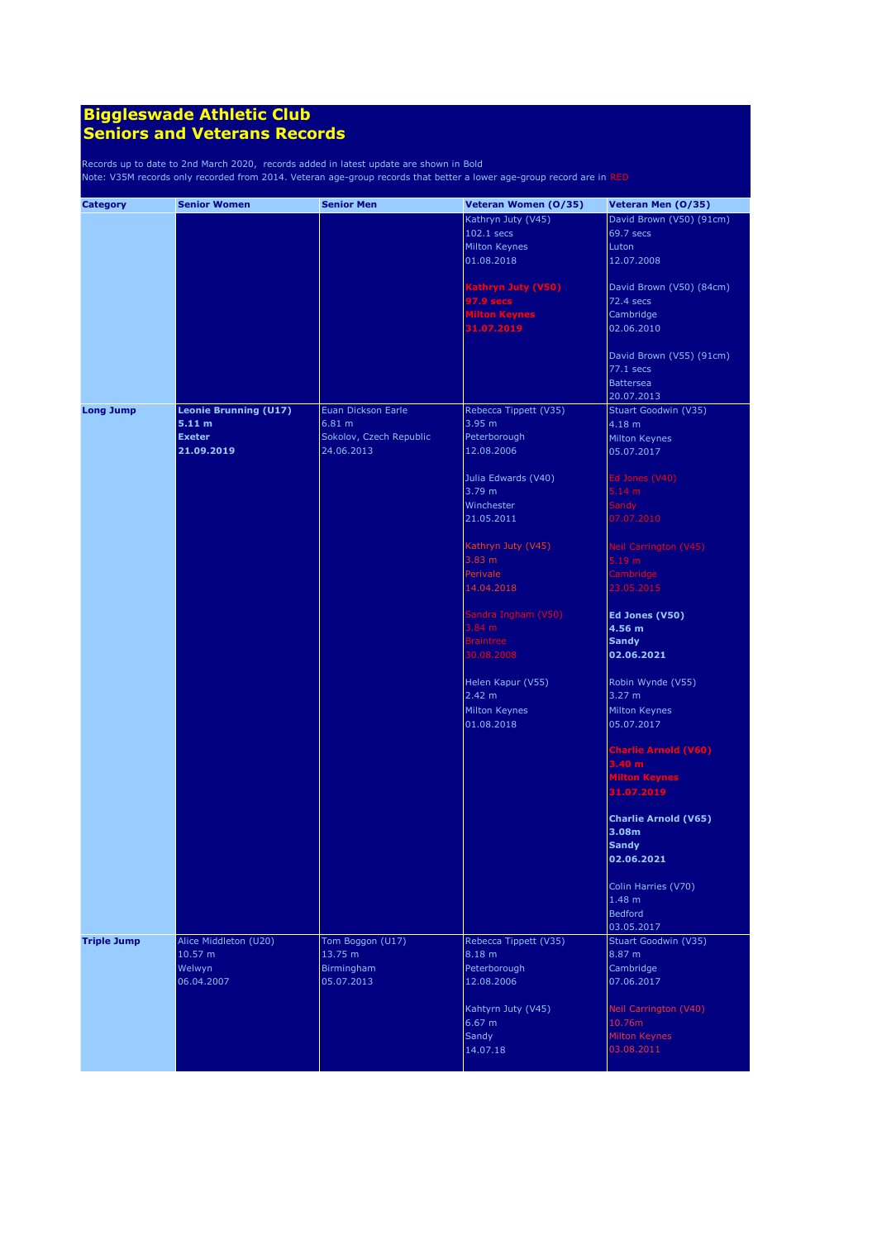| <b>Category</b>    | <b>Senior Women</b>          | <b>Senior Men</b>       | Veteran Women (0/35)                   | Veteran Men (0/35)                    |
|--------------------|------------------------------|-------------------------|----------------------------------------|---------------------------------------|
|                    |                              |                         | Kathryn Juty (V45)                     | David Brown (V50) (91cm)              |
|                    |                              |                         | 102.1 secs                             | 69.7 secs                             |
|                    |                              |                         | Milton Keynes                          | Luton                                 |
|                    |                              |                         | 01.08.2018                             | 12.07.2008                            |
|                    |                              |                         |                                        |                                       |
|                    |                              |                         | Kathryn Juty (V50)<br><b>97.9 secs</b> | David Brown (V50) (84cm)<br>72.4 secs |
|                    |                              |                         | <b>Milton Keynes</b>                   | Cambridge                             |
|                    |                              |                         | 31.07.2019                             | 02.06.2010                            |
|                    |                              |                         |                                        |                                       |
|                    |                              |                         |                                        | David Brown (V55) (91cm)              |
|                    |                              |                         |                                        | 77.1 secs                             |
|                    |                              |                         |                                        | <b>Battersea</b>                      |
|                    |                              |                         |                                        | 20.07.2013                            |
| <b>Long Jump</b>   | <b>Leonie Brunning (U17)</b> | Euan Dickson Earle      | Rebecca Tippett (V35)                  | Stuart Goodwin (V35)                  |
|                    | 5.11 m                       | 6.81 m                  | 3.95 m                                 | 4.18 m                                |
|                    | <b>Exeter</b>                | Sokolov, Czech Republic | Peterborough                           | Milton Keynes                         |
|                    | 21.09.2019                   | 24.06.2013              | 12.08.2006                             | 05.07.2017                            |
|                    |                              |                         |                                        | Ed Jones (V40)                        |
|                    |                              |                         | Julia Edwards (V40)<br>3.79 m          | 5.14 m                                |
|                    |                              |                         | Winchester                             |                                       |
|                    |                              |                         | 21.05.2011                             | <b>Sandy</b><br>07.07.2010            |
|                    |                              |                         |                                        |                                       |
|                    |                              |                         | Kathryn Juty (V45)                     | Neil Carrington (V45)                 |
|                    |                              |                         | 3.83 m                                 | 5.19 m                                |
|                    |                              |                         | Perivale                               | Cambridge                             |
|                    |                              |                         | 14.04.2018                             | 23.05.2015                            |
|                    |                              |                         | Sandra Ingham (V50)                    | Ed Jones (V50)                        |
|                    |                              |                         | 3.84 m                                 | 4.56 m                                |
|                    |                              |                         | <b>Braintree</b>                       | <b>Sandy</b>                          |
|                    |                              |                         | 30.08.2008                             | 02.06.2021                            |
|                    |                              |                         |                                        |                                       |
|                    |                              |                         | Helen Kapur (V55)<br>2.42 m            | Robin Wynde (V55)<br>3.27 m           |
|                    |                              |                         | Milton Keynes                          | Milton Keynes                         |
|                    |                              |                         | 01.08.2018                             | 05.07.2017                            |
|                    |                              |                         |                                        |                                       |
|                    |                              |                         |                                        | <b>Charlie Arnold (V60)</b>           |
|                    |                              |                         |                                        | 3.40 m                                |
|                    |                              |                         |                                        | <b>Milton Keynes</b>                  |
|                    |                              |                         |                                        | 31.07.2019                            |
|                    |                              |                         |                                        | <b>Charlie Arnold (V65)</b>           |
|                    |                              |                         |                                        | 3.08m                                 |
|                    |                              |                         |                                        | <b>Sandy</b>                          |
|                    |                              |                         |                                        | 02.06.2021                            |
|                    |                              |                         |                                        |                                       |
|                    |                              |                         |                                        | Colin Harries (V70)                   |
|                    |                              |                         |                                        | 1.48 m                                |
|                    |                              |                         |                                        | <b>Bedford</b>                        |
|                    |                              |                         |                                        | 03.05.2017                            |
| <b>Triple Jump</b> | Alice Middleton (U20)        | Tom Boggon (U17)        | Rebecca Tippett (V35)                  | Stuart Goodwin (V35)                  |
|                    | 10.57 m                      | 13.75 m                 | 8.18 m                                 | 8.87 m                                |
|                    | Welwyn                       | Birmingham              | Peterborough                           | Cambridge                             |
|                    | 06.04.2007                   | 05.07.2013              | 12.08.2006                             | 07.06.2017                            |
|                    |                              |                         | Kahtyrn Juty (V45)                     | Neil Carrington (V40)                 |
|                    |                              |                         | 6.67 m                                 | 10.76m                                |
|                    |                              |                         | Sandy                                  | Milton Keynes                         |
|                    |                              |                         | 14.07.18                               | 03.08.2011                            |
|                    |                              |                         |                                        |                                       |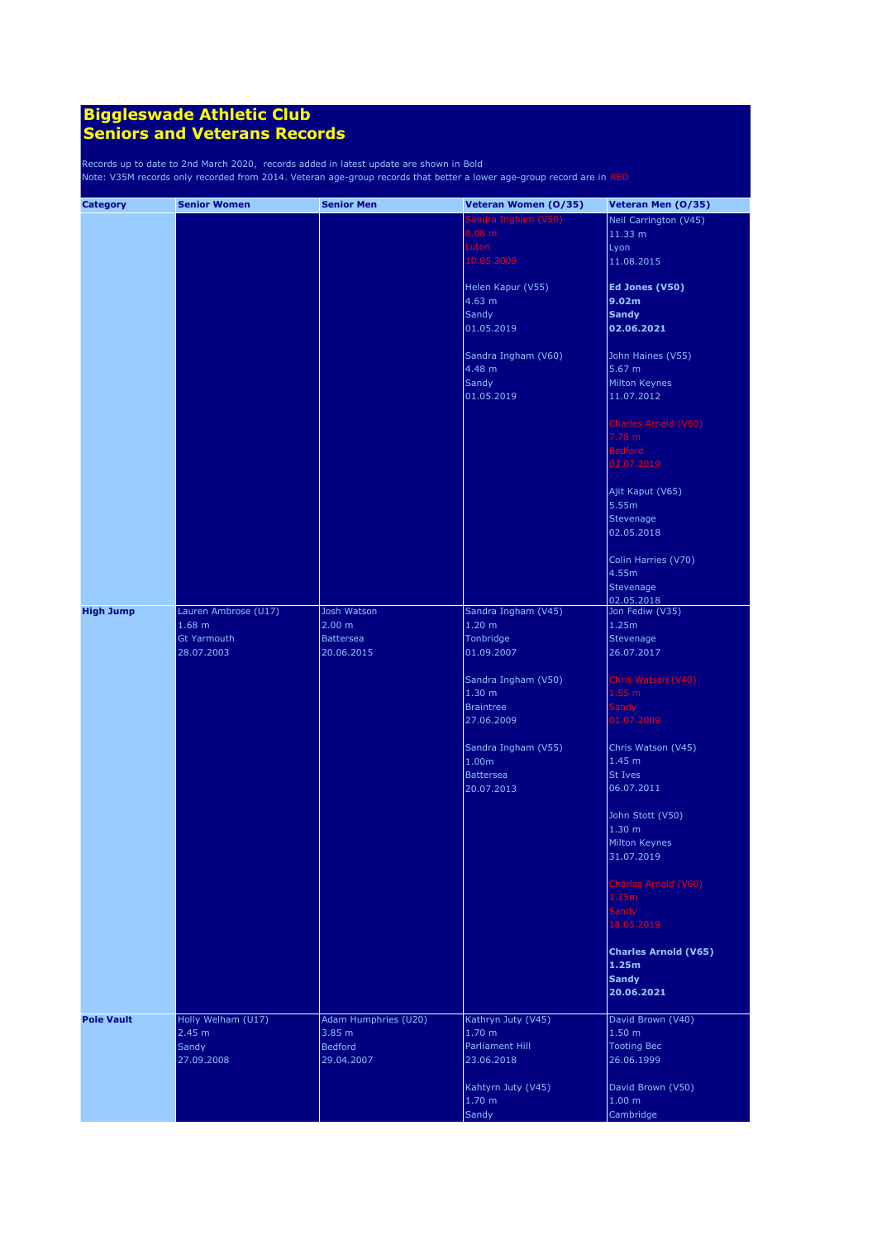| <b>Category</b>   | <b>Senior Women</b>              | <b>Senior Men</b>              | Veteran Women (0/35)                    | Veteran Men (0/35)                     |
|-------------------|----------------------------------|--------------------------------|-----------------------------------------|----------------------------------------|
|                   |                                  |                                | Sandra Ingham (V50)                     | Neil Carrington (V45)                  |
|                   |                                  |                                | 8.08 m                                  | 11.33 m                                |
|                   |                                  |                                | Luton                                   | Lyon                                   |
|                   |                                  |                                | 10.05.2009                              | 11.08.2015                             |
|                   |                                  |                                | Helen Kapur (V55)                       | Ed Jones (V50)                         |
|                   |                                  |                                | 4.63 m                                  | 9.02m                                  |
|                   |                                  |                                | Sandy                                   | <b>Sandy</b>                           |
|                   |                                  |                                | 01.05.2019                              | 02.06.2021                             |
|                   |                                  |                                |                                         |                                        |
|                   |                                  |                                | Sandra Ingham (V60)                     | John Haines (V55)                      |
|                   |                                  |                                | 4.48 m                                  | 5.67 m                                 |
|                   |                                  |                                | Sandy                                   | Milton Keynes                          |
|                   |                                  |                                | 01.05.2019                              | 11.07.2012                             |
|                   |                                  |                                |                                         | Charles Arnold (V60)                   |
|                   |                                  |                                |                                         | 7.78 m                                 |
|                   |                                  |                                |                                         | <b>Bedford</b>                         |
|                   |                                  |                                |                                         | 03.07.2019                             |
|                   |                                  |                                |                                         |                                        |
|                   |                                  |                                |                                         | Ajit Kaput (V65)                       |
|                   |                                  |                                |                                         | 5.55m                                  |
|                   |                                  |                                |                                         | Stevenage                              |
|                   |                                  |                                |                                         | 02.05.2018                             |
|                   |                                  |                                |                                         | Colin Harries (V70)                    |
|                   |                                  |                                |                                         | 4.55m                                  |
|                   |                                  |                                |                                         | Stevenage                              |
|                   |                                  |                                |                                         | 02.05.2018                             |
| <b>High Jump</b>  | Lauren Ambrose (U17)             | Josh Watson                    | Sandra Ingham (V45)                     | Jon Fediw (V35)                        |
|                   | $1.68$ m                         | 2.00 m                         | 1.20 <sub>m</sub>                       | 1.25m                                  |
|                   | <b>Gt Yarmouth</b><br>28.07.2003 | <b>Battersea</b>               | Tonbridge<br>01.09.2007                 | Stevenage<br>26.07.2017                |
|                   |                                  | 20.06.2015                     |                                         |                                        |
|                   |                                  |                                | Sandra Ingham (V50)                     | Chris Watson (V40)                     |
|                   |                                  |                                | 1.30 <sub>m</sub>                       | 1.55 m                                 |
|                   |                                  |                                | <b>Braintree</b>                        | <b>Sandy</b>                           |
|                   |                                  |                                | 27.06.2009                              | 01.07.2009                             |
|                   |                                  |                                |                                         |                                        |
|                   |                                  |                                | Sandra Ingham (V55)                     | Chris Watson (V45)                     |
|                   |                                  |                                | 1.00m                                   | 1.45 <sub>m</sub>                      |
|                   |                                  |                                | <b>Battersea</b><br>20.07.2013          | St Ives<br>06.07.2011                  |
|                   |                                  |                                |                                         |                                        |
|                   |                                  |                                |                                         | John Stott (V50)                       |
|                   |                                  |                                |                                         | 1.30 <sub>m</sub>                      |
|                   |                                  |                                |                                         | <b>Milton Keynes</b>                   |
|                   |                                  |                                |                                         | 31.07.2019                             |
|                   |                                  |                                |                                         |                                        |
|                   |                                  |                                |                                         | Charles Arnold (V60)                   |
|                   |                                  |                                |                                         | 1.35m<br>Sandy                         |
|                   |                                  |                                |                                         | 18.05.2019                             |
|                   |                                  |                                |                                         |                                        |
|                   |                                  |                                |                                         | <b>Charles Arnold (V65)</b>            |
|                   |                                  |                                |                                         | 1.25m                                  |
|                   |                                  |                                |                                         | <b>Sandy</b>                           |
|                   |                                  |                                |                                         | 20.06.2021                             |
|                   |                                  |                                |                                         |                                        |
| <b>Pole Vault</b> | Holly Welham (U17)<br>2.45 m     | Adam Humphries (U20)<br>3.85 m | Kathryn Juty (V45)<br>1.70 <sub>m</sub> | David Brown (V40)<br>1.50 <sub>m</sub> |
|                   | Sandy                            | <b>Bedford</b>                 | Parliament Hill                         | <b>Tooting Bec</b>                     |
|                   | 27.09.2008                       | 29.04.2007                     | 23.06.2018                              | 26.06.1999                             |
|                   |                                  |                                |                                         |                                        |
|                   |                                  |                                | Kahtyrn Juty (V45)                      | David Brown (V50)                      |
|                   |                                  |                                | 1.70 <sub>m</sub>                       | 1.00 m                                 |
|                   |                                  |                                | Sandy                                   | Cambridge                              |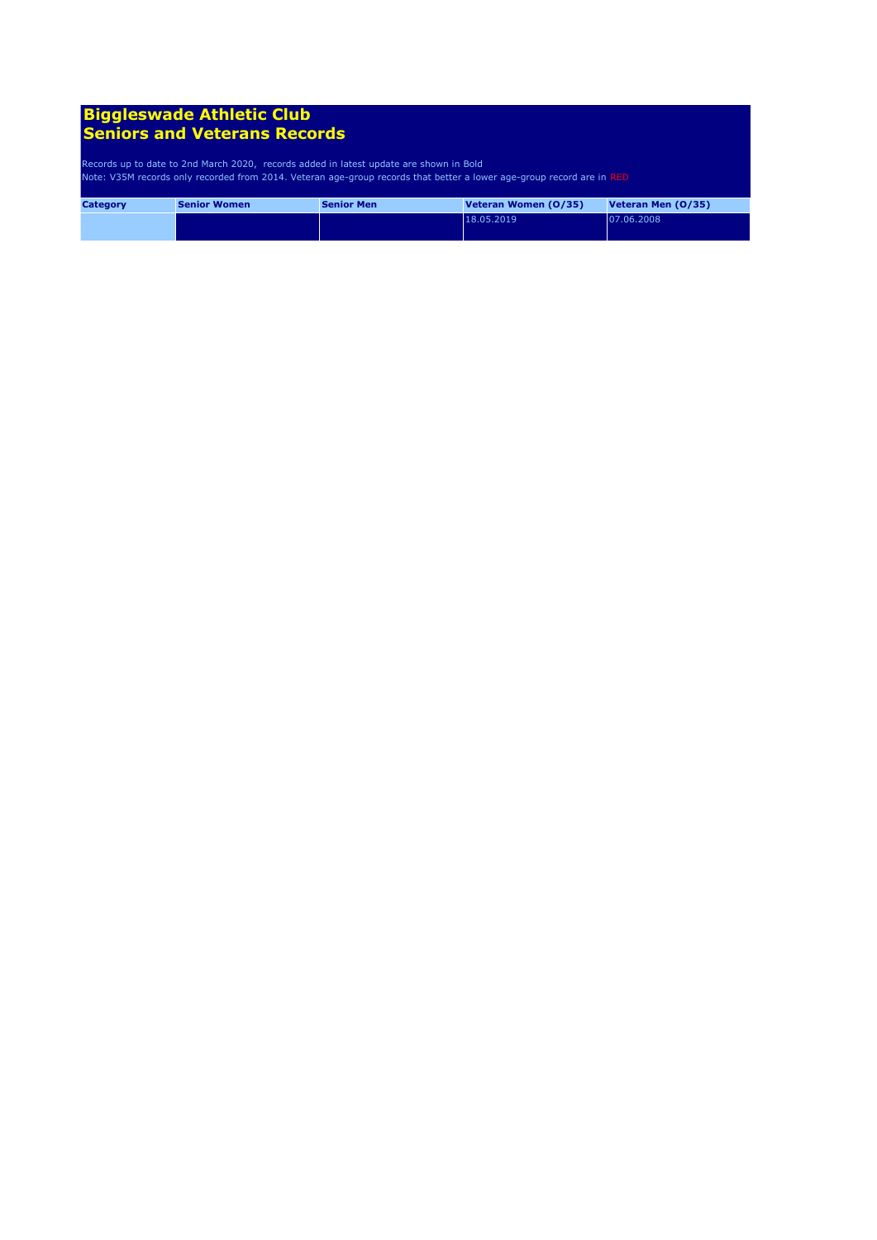| <b>Category</b> | <b>Senior Women</b> | <b>Senior Men</b> | Veteran Women (0/35) | Veteran Men (0/35) |
|-----------------|---------------------|-------------------|----------------------|--------------------|
|                 |                     |                   | 18.05.2019           | 07.06.2008         |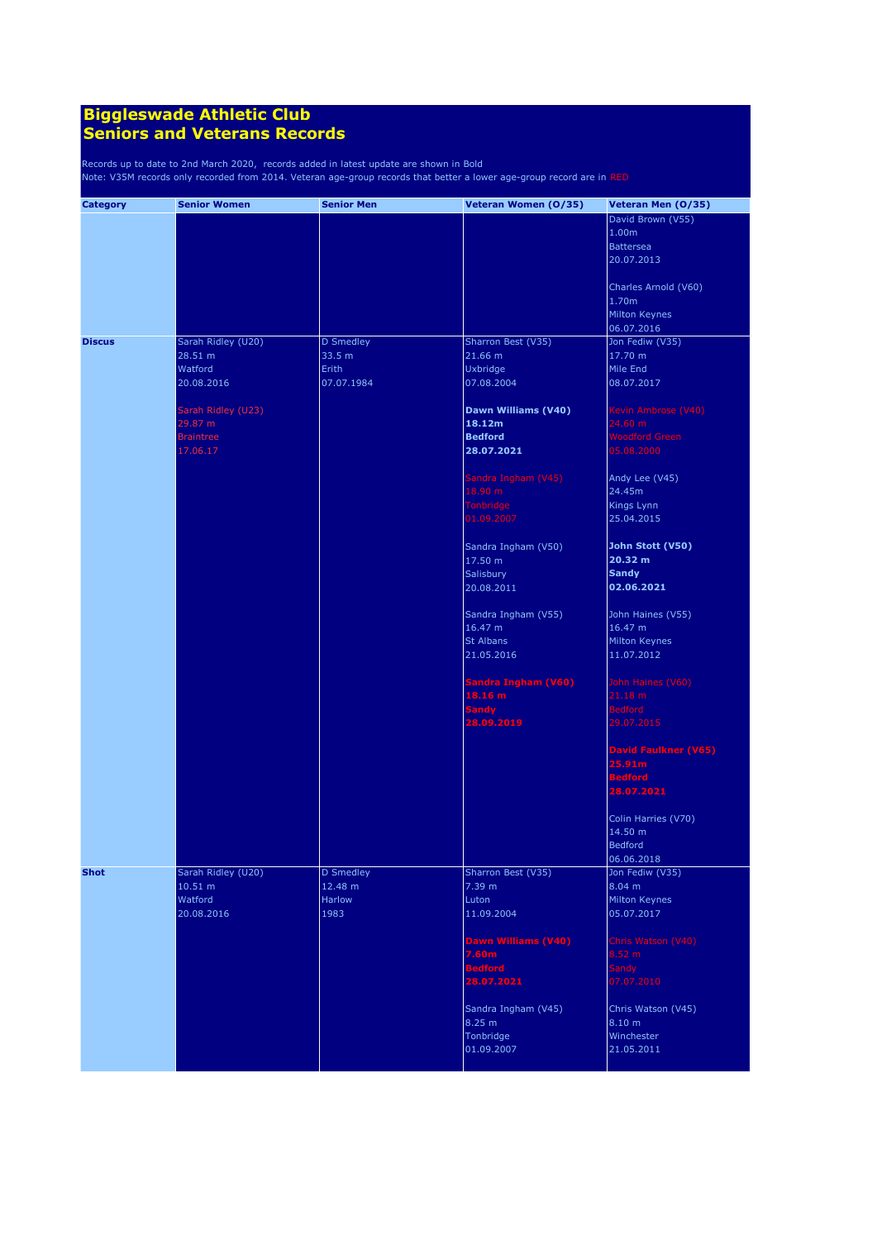| <b>Category</b> | <b>Senior Women</b>           | <b>Senior Men</b>    | Veteran Women (0/35)           | Veteran Men (0/35)          |
|-----------------|-------------------------------|----------------------|--------------------------------|-----------------------------|
|                 |                               |                      |                                | David Brown (V55)           |
|                 |                               |                      |                                | 1.00m                       |
|                 |                               |                      |                                | <b>Battersea</b>            |
|                 |                               |                      |                                | 20.07.2013                  |
|                 |                               |                      |                                |                             |
|                 |                               |                      |                                | Charles Arnold (V60)        |
|                 |                               |                      |                                | 1.70m                       |
|                 |                               |                      |                                | Milton Keynes               |
|                 |                               |                      |                                | 06.07.2016                  |
| <b>Discus</b>   | Sarah Ridley (U20)            | <b>D</b> Smedley     | Sharron Best (V35)             | Jon Fediw (V35)             |
|                 | 28.51 m                       | 33.5 m               | 21.66 m                        | 17.70 m                     |
|                 | Watford                       | Erith                | Uxbridge                       | Mile End                    |
|                 | 20.08.2016                    | 07.07.1984           | 07.08.2004                     | 08.07.2017                  |
|                 |                               |                      |                                |                             |
|                 | Sarah Ridley (U23)            |                      | Dawn Williams (V40)            | Kevin Ambrose (V40)         |
|                 | 29.87 m                       |                      | 18.12m                         | 24.60 m                     |
|                 | <b>Braintree</b>              |                      | <b>Bedford</b>                 | <b>Woodford Green</b>       |
|                 | 17.06.17                      |                      | 28.07.2021                     | 05.08.2000                  |
|                 |                               |                      |                                |                             |
|                 |                               |                      | Sandra Ingham (V45)            | Andy Lee (V45)              |
|                 |                               |                      | 18.90 m                        | 24.45m                      |
|                 |                               |                      | Tonbridge<br>01.09.2007        | Kings Lynn<br>25.04.2015    |
|                 |                               |                      |                                |                             |
|                 |                               |                      |                                | John Stott (V50)            |
|                 |                               |                      | Sandra Ingham (V50)<br>17.50 m | 20.32 m                     |
|                 |                               |                      | Salisbury                      | <b>Sandy</b>                |
|                 |                               |                      | 20.08.2011                     | 02.06.2021                  |
|                 |                               |                      |                                |                             |
|                 |                               |                      | Sandra Ingham (V55)            | John Haines (V55)           |
|                 |                               |                      | 16.47 m                        | 16.47 m                     |
|                 |                               |                      | <b>St Albans</b>               | Milton Keynes               |
|                 |                               |                      | 21.05.2016                     | 11.07.2012                  |
|                 |                               |                      |                                |                             |
|                 |                               |                      | <b>Sandra Ingham (V60)</b>     | John Haines (V60)           |
|                 |                               |                      | 18.16 m                        | 21.18 m                     |
|                 |                               |                      | <b>Sandy</b>                   | <b>Bedford</b>              |
|                 |                               |                      | 28.09.2019                     | 29.07.2015                  |
|                 |                               |                      |                                |                             |
|                 |                               |                      |                                | <b>David Faulkner (V65)</b> |
|                 |                               |                      |                                | 25.91m                      |
|                 |                               |                      |                                | <b>Bedford</b>              |
|                 |                               |                      |                                | 28.07.2021                  |
|                 |                               |                      |                                |                             |
|                 |                               |                      |                                | Colin Harries (V70)         |
|                 |                               |                      |                                | 14.50 m                     |
|                 |                               |                      |                                | <b>Bedford</b>              |
|                 |                               |                      |                                | 06.06.2018                  |
| <b>Shot</b>     | Sarah Ridley (U20)<br>10.51 m | D Smedley<br>12.48 m | Sharron Best (V35)<br>7.39 m   | Jon Fediw (V35)<br>8.04 m   |
|                 | Watford                       | Harlow               | Luton                          | Milton Keynes               |
|                 | 20.08.2016                    | 1983                 | 11.09.2004                     | 05.07.2017                  |
|                 |                               |                      |                                |                             |
|                 |                               |                      | Dawn Williams (V40)            | Chris Watson (V40)          |
|                 |                               |                      | 7.60 <sub>m</sub>              | 8.52 m                      |
|                 |                               |                      | <b>Bedford</b>                 | <b>Sandy</b>                |
|                 |                               |                      | 28.07.2021                     | 07.07.2010                  |
|                 |                               |                      |                                |                             |
|                 |                               |                      | Sandra Ingham (V45)            | Chris Watson (V45)          |
|                 |                               |                      | 8.25 m                         | 8.10 m                      |
|                 |                               |                      | Tonbridge                      | Winchester                  |
|                 |                               |                      | 01.09.2007                     | 21.05.2011                  |
|                 |                               |                      |                                |                             |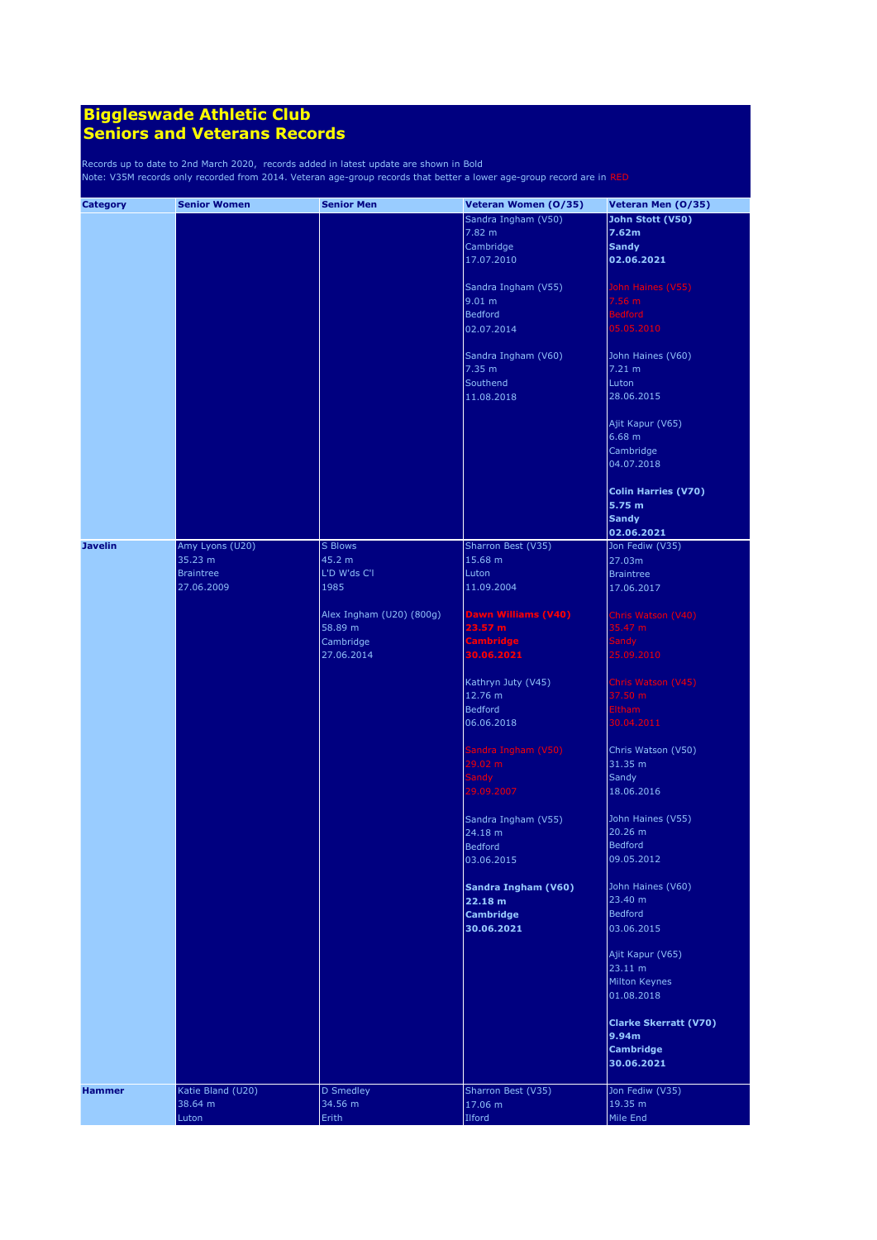| <b>Category</b> | <b>Senior Women</b> | <b>Senior Men</b>        | Veteran Women (0/35) | Veteran Men (0/35)           |
|-----------------|---------------------|--------------------------|----------------------|------------------------------|
|                 |                     |                          | Sandra Ingham (V50)  | John Stott (V50)             |
|                 |                     |                          | 7.82 m               | 7.62m                        |
|                 |                     |                          | Cambridge            | <b>Sandy</b>                 |
|                 |                     |                          | 17.07.2010           | 02.06.2021                   |
|                 |                     |                          |                      |                              |
|                 |                     |                          | Sandra Ingham (V55)  | John Haines (V55)            |
|                 |                     |                          | 9.01 m               | 7.56 m                       |
|                 |                     |                          | <b>Bedford</b>       | <b>Bedford</b>               |
|                 |                     |                          |                      |                              |
|                 |                     |                          | 02.07.2014           | 05.05.2010                   |
|                 |                     |                          | Sandra Ingham (V60)  | John Haines (V60)            |
|                 |                     |                          | 7.35 m               | 7.21 m                       |
|                 |                     |                          | Southend             | Luton                        |
|                 |                     |                          |                      |                              |
|                 |                     |                          | 11.08.2018           | 28.06.2015                   |
|                 |                     |                          |                      |                              |
|                 |                     |                          |                      | Ajit Kapur (V65)             |
|                 |                     |                          |                      | 6.68 m                       |
|                 |                     |                          |                      | Cambridge                    |
|                 |                     |                          |                      | 04.07.2018                   |
|                 |                     |                          |                      |                              |
|                 |                     |                          |                      | <b>Colin Harries (V70)</b>   |
|                 |                     |                          |                      | 5.75 m                       |
|                 |                     |                          |                      | <b>Sandy</b>                 |
|                 |                     |                          |                      | 02.06.2021                   |
| <b>Javelin</b>  | Amy Lyons (U20)     | S Blows                  | Sharron Best (V35)   | Jon Fediw (V35)              |
|                 | 35.23 m             | 45.2 m                   | 15.68 m              | 27.03m                       |
|                 | <b>Braintree</b>    | L'D W'ds C'I             | Luton                | <b>Braintree</b>             |
|                 | 27.06.2009          | 1985                     | 11.09.2004           | 17.06.2017                   |
|                 |                     |                          |                      |                              |
|                 |                     | Alex Ingham (U20) (800g) | Dawn Williams (V40)  | Chris Watson (V40)           |
|                 |                     | 58.89 m                  | 23.57 m              | 35.47 m                      |
|                 |                     | Cambridge                | Cambridge            | Sandy                        |
|                 |                     | 27.06.2014               | 30.06.2021           | 25.09.2010                   |
|                 |                     |                          |                      |                              |
|                 |                     |                          | Kathryn Juty (V45)   | Chris Watson (V45)           |
|                 |                     |                          | 12.76 m              | 37.50 m                      |
|                 |                     |                          |                      |                              |
|                 |                     |                          | <b>Bedford</b>       | <b>Eltham</b>                |
|                 |                     |                          | 06.06.2018           | 30.04.2011                   |
|                 |                     |                          | Sandra Ingham (V50)  | Chris Watson (V50)           |
|                 |                     |                          | 29.02 m              | 31.35 m                      |
|                 |                     |                          |                      |                              |
|                 |                     |                          | Sandy                | Sandy                        |
|                 |                     |                          | 29.09.2007           | 18.06.2016                   |
|                 |                     |                          | Sandra Ingham (V55)  | John Haines (V55)            |
|                 |                     |                          | $24.18 \text{ m}$    | 20.26 m                      |
|                 |                     |                          | <b>Bedford</b>       | <b>Bedford</b>               |
|                 |                     |                          |                      |                              |
|                 |                     |                          | 03.06.2015           | 09.05.2012                   |
|                 |                     |                          | Sandra Ingham (V60)  | John Haines (V60)            |
|                 |                     |                          | 22.18 m              | 23.40 m                      |
|                 |                     |                          | <b>Cambridge</b>     | Bedford                      |
|                 |                     |                          | 30.06.2021           | 03.06.2015                   |
|                 |                     |                          |                      |                              |
|                 |                     |                          |                      | Ajit Kapur (V65)             |
|                 |                     |                          |                      | 23.11 m                      |
|                 |                     |                          |                      | Milton Keynes                |
|                 |                     |                          |                      | 01.08.2018                   |
|                 |                     |                          |                      |                              |
|                 |                     |                          |                      | <b>Clarke Skerratt (V70)</b> |
|                 |                     |                          |                      | 9.94m                        |
|                 |                     |                          |                      | <b>Cambridge</b>             |
|                 |                     |                          |                      | 30.06.2021                   |
|                 |                     |                          |                      |                              |
| <b>Hammer</b>   | Katie Bland (U20)   | D Smedley                | Sharron Best (V35)   | Jon Fediw (V35)              |
|                 | 38.64 m             | 34.56 m                  | 17.06 m              | 19.35 m                      |
|                 | Luton               | Erith                    | Ilford               | Mile End                     |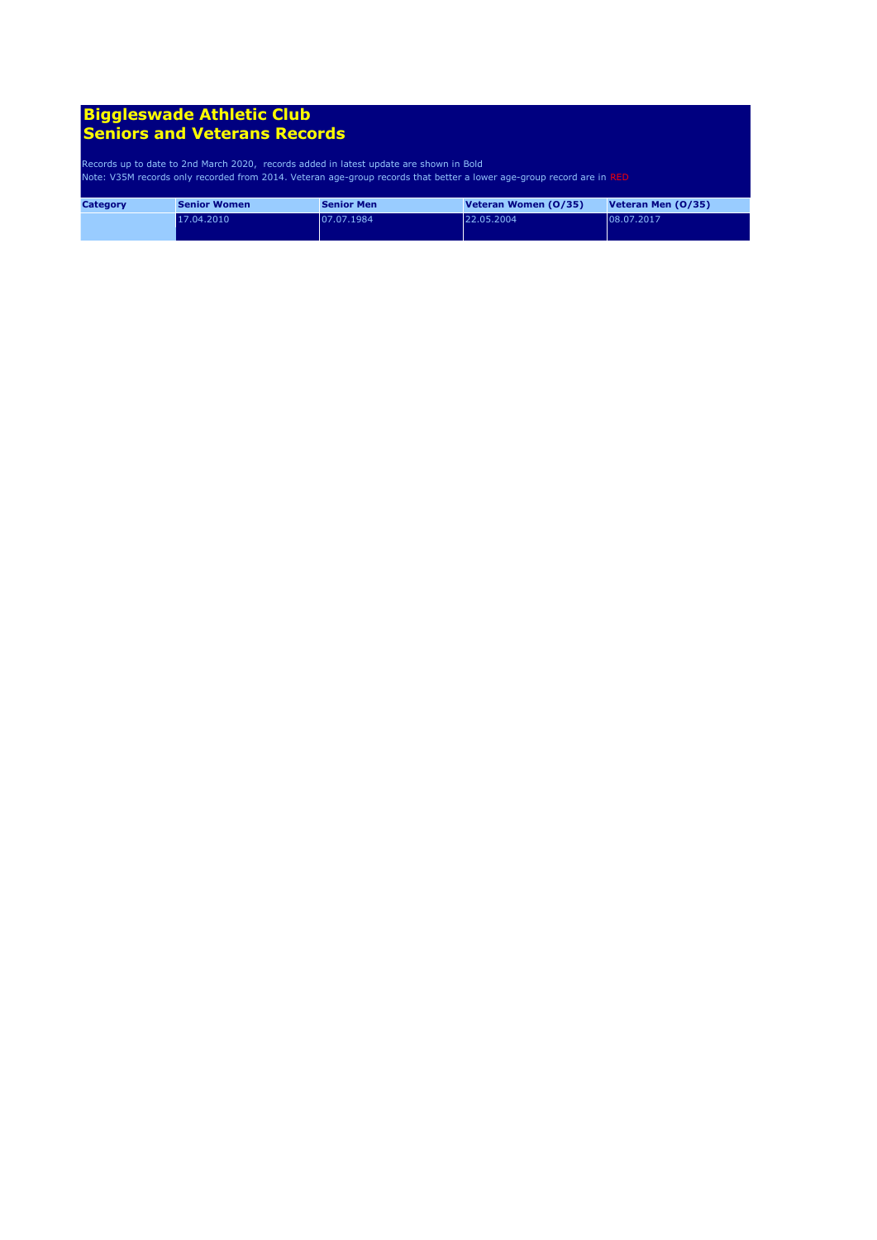| <b>Category</b> | <b>Senior Women</b> | <b>Senior Men</b> | Veteran Women (0/35) | Veteran Men (0/35) |
|-----------------|---------------------|-------------------|----------------------|--------------------|
|                 | 17.04.2010          | 07.07.1984        | 22.05.2004           | 08.07.2017         |
|                 |                     |                   |                      |                    |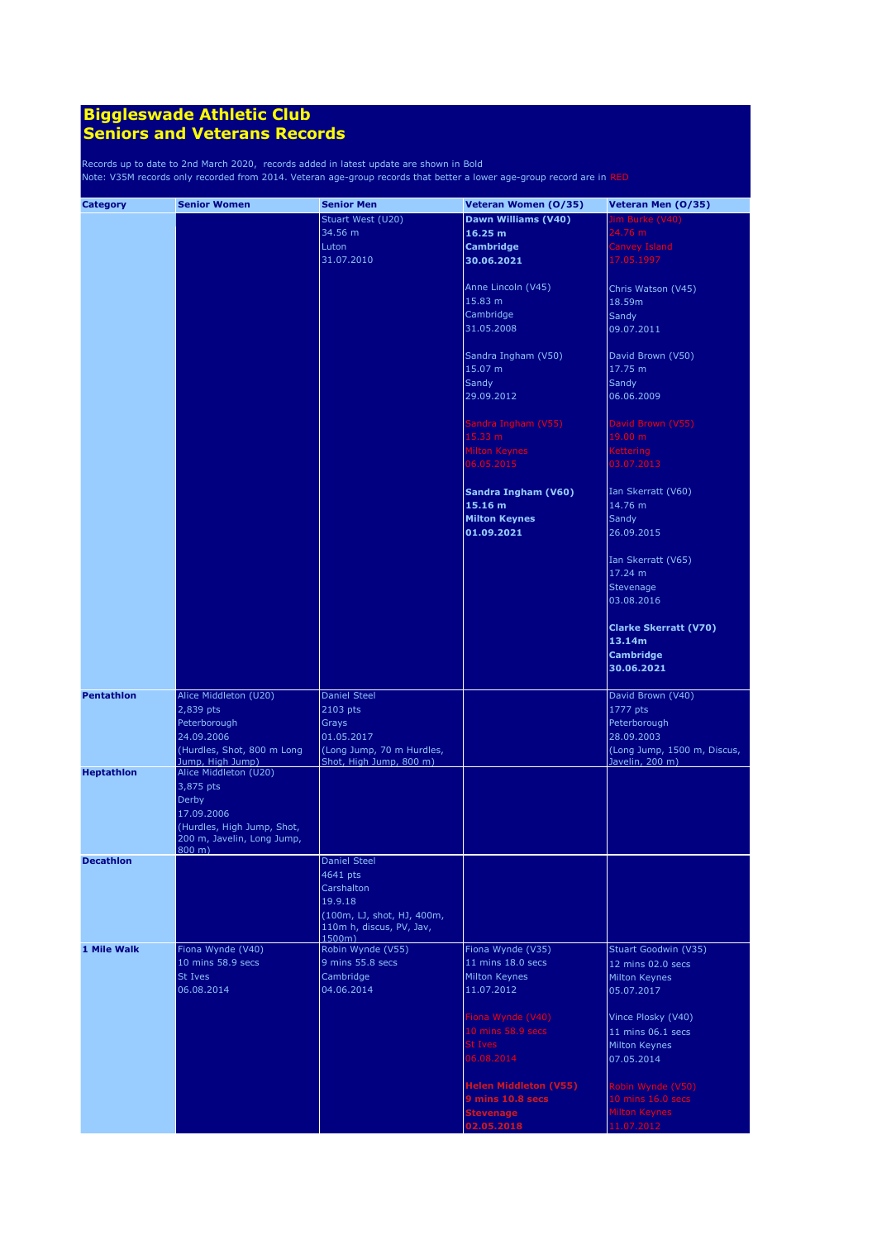| <b>Category</b>   | <b>Senior Women</b>        | <b>Senior Men</b>          | Veteran Women (0/35)         | Veteran Men (0/35)           |
|-------------------|----------------------------|----------------------------|------------------------------|------------------------------|
|                   |                            | Stuart West (U20)          | Dawn Williams (V40)          | <b>Jim Burke (V40)</b>       |
|                   |                            | 34.56 m                    | 16.25 m                      | 24.76 m                      |
|                   |                            | Luton                      | <b>Cambridge</b>             | <b>Canvey Island</b>         |
|                   |                            | 31.07.2010                 | 30.06.2021                   | 17.05.1997                   |
|                   |                            |                            |                              |                              |
|                   |                            |                            | Anne Lincoln (V45)           | Chris Watson (V45)           |
|                   |                            |                            | 15.83 m                      | 18.59m                       |
|                   |                            |                            |                              |                              |
|                   |                            |                            | Cambridge                    | Sandy                        |
|                   |                            |                            | 31.05.2008                   | 09.07.2011                   |
|                   |                            |                            |                              |                              |
|                   |                            |                            | Sandra Ingham (V50)          | David Brown (V50)            |
|                   |                            |                            | 15.07 m                      | 17.75 m                      |
|                   |                            |                            | Sandy                        | Sandy                        |
|                   |                            |                            | 29.09.2012                   | 06.06.2009                   |
|                   |                            |                            |                              |                              |
|                   |                            |                            | Sandra Ingham (V55)          | David Brown (V55)            |
|                   |                            |                            | 15.33 m                      | 19.00 m                      |
|                   |                            |                            | <b>Milton Keynes</b>         | <b>Kettering</b>             |
|                   |                            |                            | 06.05.2015                   | 03.07.2013                   |
|                   |                            |                            |                              |                              |
|                   |                            |                            | Sandra Ingham (V60)          | Ian Skerratt (V60)           |
|                   |                            |                            | 15.16 m                      | 14.76 m                      |
|                   |                            |                            | <b>Milton Keynes</b>         | Sandy                        |
|                   |                            |                            | 01.09.2021                   | 26.09.2015                   |
|                   |                            |                            |                              |                              |
|                   |                            |                            |                              | Ian Skerratt (V65)           |
|                   |                            |                            |                              | 17.24 m                      |
|                   |                            |                            |                              | Stevenage                    |
|                   |                            |                            |                              | 03.08.2016                   |
|                   |                            |                            |                              |                              |
|                   |                            |                            |                              | <b>Clarke Skerratt (V70)</b> |
|                   |                            |                            |                              | 13.14m                       |
|                   |                            |                            |                              | <b>Cambridge</b>             |
|                   |                            |                            |                              | 30.06.2021                   |
|                   |                            |                            |                              |                              |
| <b>Pentathlon</b> | Alice Middleton (U20)      | <b>Daniel Steel</b>        |                              | David Brown (V40)            |
|                   | 2,839 pts                  | 2103 pts                   |                              | 1777 pts                     |
|                   | Peterborough               | Grays                      |                              | Peterborough                 |
|                   | 24.09.2006                 | 01.05.2017                 |                              | 28.09.2003                   |
|                   | (Hurdles, Shot, 800 m Long | (Long Jump, 70 m Hurdles,  |                              | (Long Jump, 1500 m, Discus,  |
|                   | Jump, High Jump)           | Shot, High Jump, 800 m)    |                              | Javelin, 200 m)              |
| <b>Heptathlon</b> | Alice Middleton (U20)      |                            |                              |                              |
|                   | 3,875 pts                  |                            |                              |                              |
|                   | Derby                      |                            |                              |                              |
|                   | 17.09.2006                 |                            |                              |                              |
|                   | (Hurdles, High Jump, Shot, |                            |                              |                              |
|                   | 200 m, Javelin, Long Jump, |                            |                              |                              |
| <b>Decathlon</b>  | $800 \; m)$                | Daniel Steel               |                              |                              |
|                   |                            | 4641 pts                   |                              |                              |
|                   |                            | Carshalton                 |                              |                              |
|                   |                            | 19.9.18                    |                              |                              |
|                   |                            | (100m, LJ, shot, HJ, 400m, |                              |                              |
|                   |                            | 110m h, discus, PV, Jav,   |                              |                              |
|                   |                            | 1500m)                     |                              |                              |
| 1 Mile Walk       | Fiona Wynde (V40)          | Robin Wynde (V55)          | Fiona Wynde (V35)            | Stuart Goodwin (V35)         |
|                   | 10 mins 58.9 secs          | 9 mins 55.8 secs           | 11 mins 18.0 secs            | 12 mins 02.0 secs            |
|                   | St Ives                    | Cambridge                  | Milton Keynes                | Milton Keynes                |
|                   | 06.08.2014                 | 04.06.2014                 | 11.07.2012                   | 05.07.2017                   |
|                   |                            |                            |                              |                              |
|                   |                            |                            | Fiona Wynde (V40)            | Vince Plosky (V40)           |
|                   |                            |                            | 10 mins 58.9 secs            | 11 mins $06.1$ secs          |
|                   |                            |                            | <b>St Ives</b>               | Milton Keynes                |
|                   |                            |                            | 06.08.2014                   | 07.05.2014                   |
|                   |                            |                            |                              |                              |
|                   |                            |                            | <b>Helen Middleton (V55)</b> | Robin Wynde (V50)            |
|                   |                            |                            | 9 mins 10.8 secs             | 10 mins 16.0 secs            |
|                   |                            |                            | <b>Stevenage</b>             | <b>Milton Keynes</b>         |
|                   |                            |                            | 02.05.2018                   | 11.07.2012                   |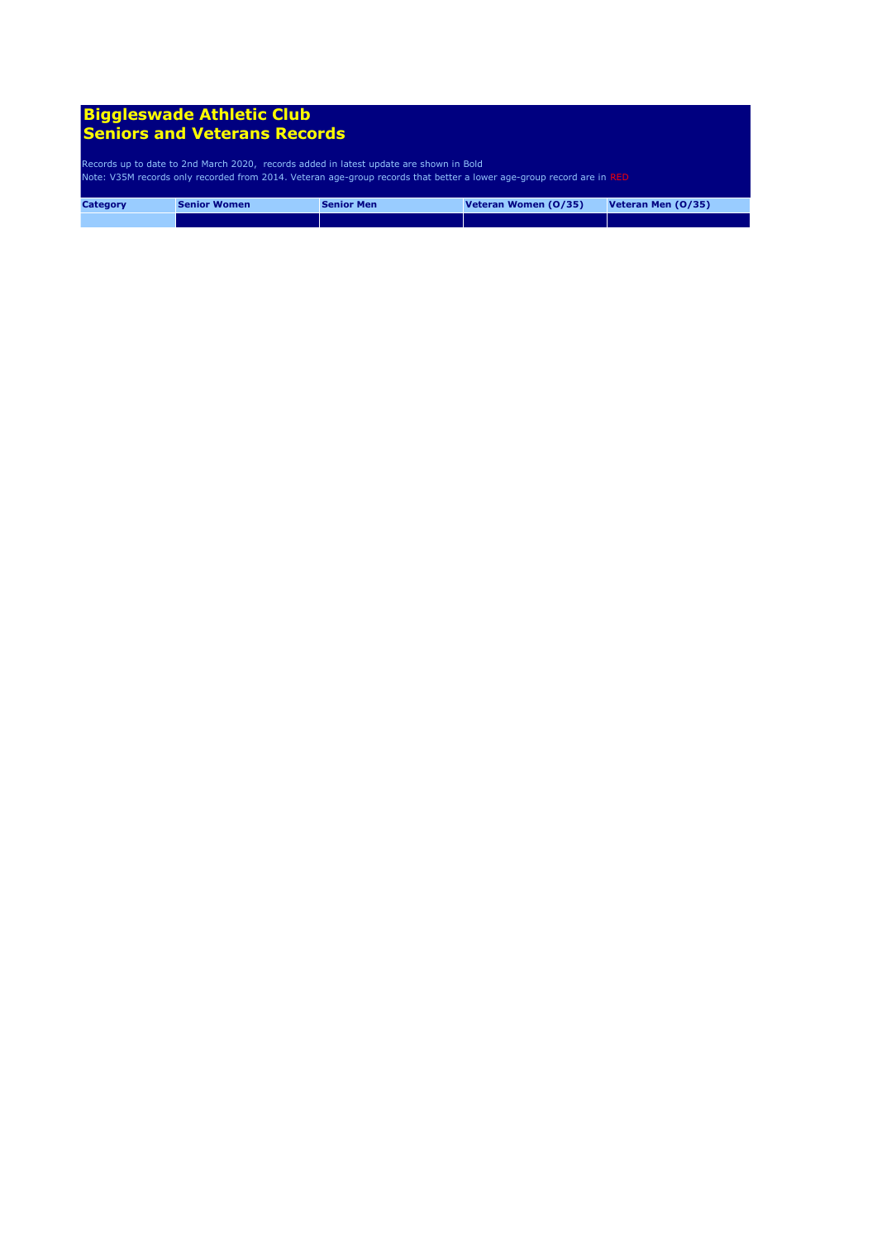| <b>Category</b> | <b>Senior Women</b> | <b>Senior Men</b> | Veteran Women (0/35) | Veteran Men (0/35) |
|-----------------|---------------------|-------------------|----------------------|--------------------|
|                 |                     |                   |                      |                    |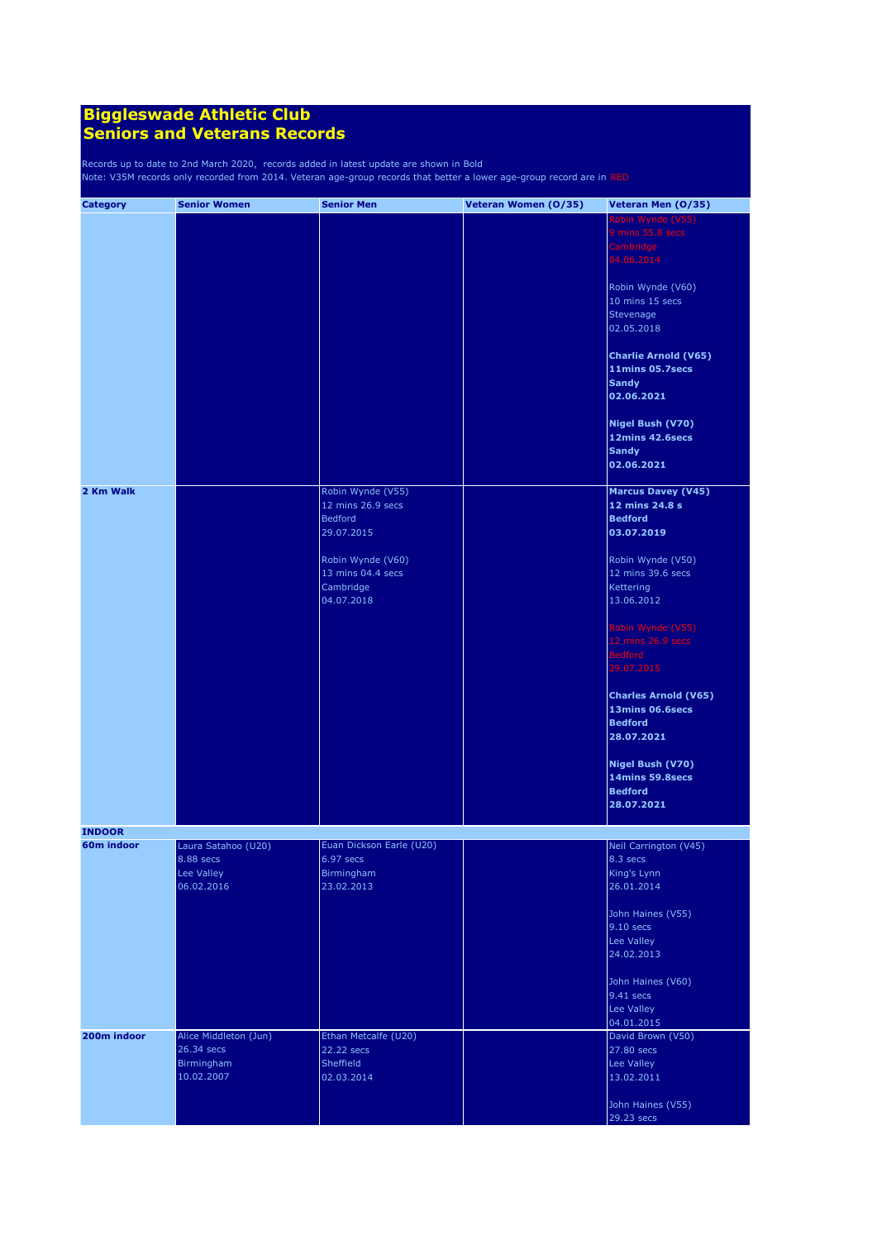| <b>Category</b> | <b>Senior Women</b>     | <b>Senior Men</b>                     | Veteran Women (0/35) | Veteran Men (0/35)                |
|-----------------|-------------------------|---------------------------------------|----------------------|-----------------------------------|
|                 |                         |                                       |                      | Robin Wynde (V55)                 |
|                 |                         |                                       |                      | 9 mins 55.8 secs<br>Cambridge     |
|                 |                         |                                       |                      | 04.06.2014                        |
|                 |                         |                                       |                      | Robin Wynde (V60)                 |
|                 |                         |                                       |                      | 10 mins 15 secs                   |
|                 |                         |                                       |                      | Stevenage                         |
|                 |                         |                                       |                      | 02.05.2018                        |
|                 |                         |                                       |                      | <b>Charlie Arnold (V65)</b>       |
|                 |                         |                                       |                      | 11mins 05.7secs<br><b>Sandy</b>   |
|                 |                         |                                       |                      | 02.06.2021                        |
|                 |                         |                                       |                      | Nigel Bush (V70)                  |
|                 |                         |                                       |                      | 12mins 42.6secs                   |
|                 |                         |                                       |                      | <b>Sandy</b>                      |
|                 |                         |                                       |                      | 02.06.2021                        |
| 2 Km Walk       |                         | Robin Wynde (V55)                     |                      | <b>Marcus Davey (V45)</b>         |
|                 |                         | 12 mins 26.9 secs                     |                      | 12 mins 24.8 s                    |
|                 |                         | <b>Bedford</b><br>29.07.2015          |                      | <b>Bedford</b><br>03.07.2019      |
|                 |                         |                                       |                      |                                   |
|                 |                         | Robin Wynde (V60)                     |                      | Robin Wynde (V50)                 |
|                 |                         | 13 mins 04.4 secs                     |                      | 12 mins 39.6 secs                 |
|                 |                         | Cambridge                             |                      | Kettering                         |
|                 |                         | 04.07.2018                            |                      | 13.06.2012                        |
|                 |                         |                                       |                      | Robin Wynde (V55)                 |
|                 |                         |                                       |                      | 12 mins 26.9 secs                 |
|                 |                         |                                       |                      | <b>Bedford</b>                    |
|                 |                         |                                       |                      | 29.07.2015                        |
|                 |                         |                                       |                      | <b>Charles Arnold (V65)</b>       |
|                 |                         |                                       |                      | 13mins 06.6secs                   |
|                 |                         |                                       |                      | <b>Bedford</b>                    |
|                 |                         |                                       |                      | 28.07.2021                        |
|                 |                         |                                       |                      | Nigel Bush (V70)                  |
|                 |                         |                                       |                      | 14mins 59.8secs                   |
|                 |                         |                                       |                      | <b>Bedford</b>                    |
|                 |                         |                                       |                      | 28.07.2021                        |
| <b>INDOOR</b>   |                         |                                       |                      |                                   |
| 60m indoor      | Laura Satahoo (U20)     | Euan Dickson Earle (U20)<br>6.97 secs |                      | Neil Carrington (V45)<br>8.3 secs |
|                 | 8.88 secs<br>Lee Valley | Birmingham                            |                      | King's Lynn                       |
|                 | 06.02.2016              | 23.02.2013                            |                      | 26.01.2014                        |
|                 |                         |                                       |                      | John Haines (V55)                 |
|                 |                         |                                       |                      | $9.10$ secs                       |
|                 |                         |                                       |                      | Lee Valley                        |
|                 |                         |                                       |                      | 24.02.2013                        |
|                 |                         |                                       |                      | John Haines (V60)                 |
|                 |                         |                                       |                      | 9.41 secs                         |
|                 |                         |                                       |                      | Lee Valley                        |
| 200m indoor     | Alice Middleton (Jun)   | Ethan Metcalfe (U20)                  |                      | 04.01.2015<br>David Brown (V50)   |
|                 | 26.34 secs              | 22.22 secs                            |                      | 27.80 secs                        |
|                 | Birmingham              | Sheffield                             |                      | Lee Valley                        |
|                 | 10.02.2007              | 02.03.2014                            |                      | 13.02.2011                        |
|                 |                         |                                       |                      | John Haines (V55)                 |
|                 |                         |                                       |                      | 29.23 secs                        |
|                 |                         |                                       |                      |                                   |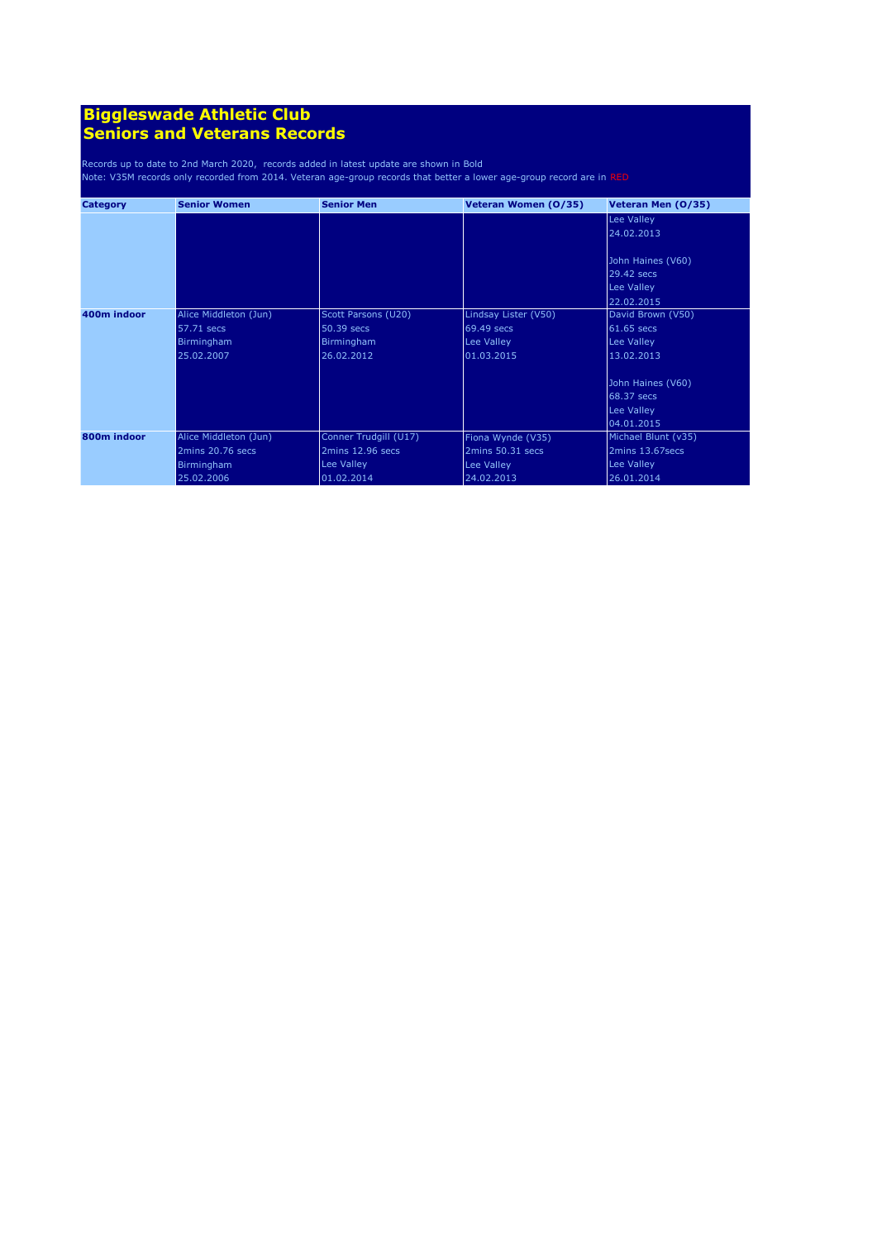| <b>Category</b> | <b>Senior Women</b>   | <b>Senior Men</b>     | Veteran Women (0/35) | Veteran Men (0/35)  |
|-----------------|-----------------------|-----------------------|----------------------|---------------------|
|                 |                       |                       |                      | Lee Valley          |
|                 |                       |                       |                      | 24.02.2013          |
|                 |                       |                       |                      |                     |
|                 |                       |                       |                      | John Haines (V60)   |
|                 |                       |                       |                      | 29.42 secs          |
|                 |                       |                       |                      | Lee Valley          |
|                 |                       |                       |                      | 22.02.2015          |
| 400m indoor     | Alice Middleton (Jun) | Scott Parsons (U20)   | Lindsay Lister (V50) | David Brown (V50)   |
|                 | 57.71 secs            | 50.39 secs            | 69.49 secs           | 61.65 secs          |
|                 | Birmingham            | <b>Birmingham</b>     | Lee Valley           | Lee Valley          |
|                 | 25.02.2007            | 26.02.2012            | 01.03.2015           | 13.02.2013          |
|                 |                       |                       |                      |                     |
|                 |                       |                       |                      | John Haines (V60)   |
|                 |                       |                       |                      | 68.37 secs          |
|                 |                       |                       |                      | Lee Valley          |
|                 |                       |                       |                      | 04.01.2015          |
| 800m indoor     | Alice Middleton (Jun) | Conner Trudgill (U17) | Fiona Wynde (V35)    | Michael Blunt (v35) |
|                 | 2mins 20.76 secs      | 2mins 12.96 secs      | 2mins 50.31 secs     | 2mins 13.67secs     |
|                 | Birmingham            | Lee Valley            | Lee Valley           | Lee Valley          |
|                 | 25.02.2006            | 01.02.2014            | 24.02.2013           | 26.01.2014          |